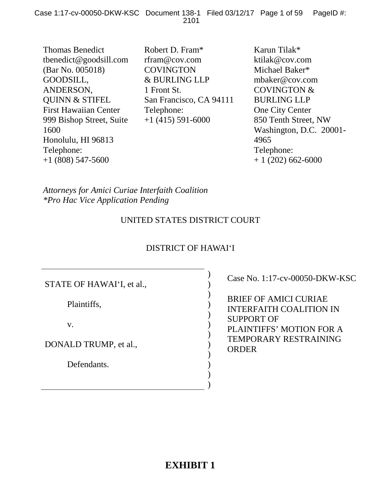Thomas Benedict tbenedict@goodsill.com (Bar No. 005018) GOODSILL, ANDERSON, QUINN & STIFEL First Hawaiian Center 999 Bishop Street, Suite 1600 Honolulu, HI 96813 Telephone: +1 (808) 547-5600

Robert D. Fram\* rfram@cov.com COVINGTON & BURLING LLP 1 Front St. San Francisco, CA 94111 Telephone:  $+1$  (415) 591-6000

Karun Tilak\* ktilak@cov.com Michael Baker\* mbaker@cov.com COVINGTON & BURLING LLP One City Center 850 Tenth Street, NW Washington, D.C. 20001- 4965 Telephone:  $+ 1 (202) 662 - 6000$ 

*Attorneys for Amici Curiae Interfaith Coalition \*Pro Hac Vice Application Pending*

## UNITED STATES DISTRICT COURT

## DISTRICT OF HAWAIʻI

) ) ) ) ) ) ) ) ) ) ) )

STATE OF HAWAIʻI, et al.,

Plaintiffs,

v.

DONALD TRUMP, et al.,

Defendants.

Case No. 1:17-cv-00050-DKW-KSC

BRIEF OF AMICI CURIAE INTERFAITH COALITION IN SUPPORT OF PLAINTIFFS' MOTION FOR A TEMPORARY RESTRAINING ORDER

## **EXHIBIT 1**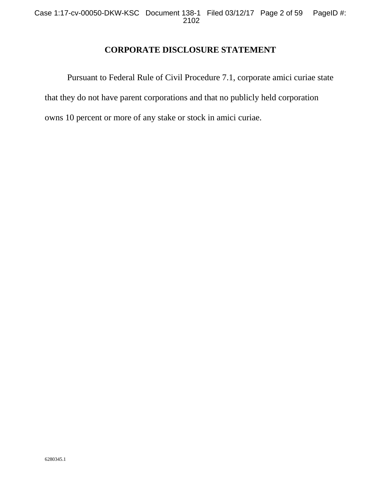## **CORPORATE DISCLOSURE STATEMENT**

Pursuant to Federal Rule of Civil Procedure 7.1, corporate amici curiae state that they do not have parent corporations and that no publicly held corporation owns 10 percent or more of any stake or stock in amici curiae.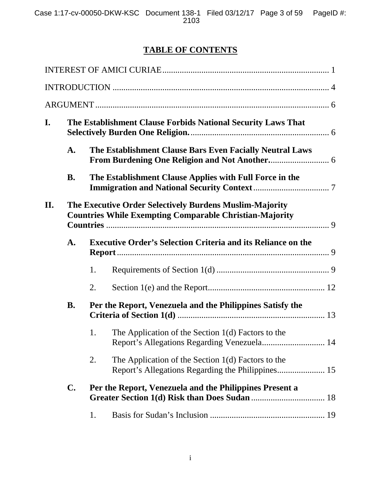## **TABLE OF CONTENTS**

| I.  | The Establishment Clause Forbids National Security Laws That                                                              |                                                                     |                                                                                                     |  |  |
|-----|---------------------------------------------------------------------------------------------------------------------------|---------------------------------------------------------------------|-----------------------------------------------------------------------------------------------------|--|--|
|     | $\mathbf{A}$ .                                                                                                            | The Establishment Clause Bars Even Facially Neutral Laws            |                                                                                                     |  |  |
|     | <b>B.</b>                                                                                                                 | The Establishment Clause Applies with Full Force in the             |                                                                                                     |  |  |
| II. | The Executive Order Selectively Burdens Muslim-Majority<br><b>Countries While Exempting Comparable Christian-Majority</b> |                                                                     |                                                                                                     |  |  |
|     | A.                                                                                                                        | <b>Executive Order's Selection Criteria and its Reliance on the</b> |                                                                                                     |  |  |
|     |                                                                                                                           | 1.                                                                  |                                                                                                     |  |  |
|     |                                                                                                                           | 2.                                                                  |                                                                                                     |  |  |
|     | <b>B.</b>                                                                                                                 | Per the Report, Venezuela and the Philippines Satisfy the           |                                                                                                     |  |  |
|     |                                                                                                                           | 1.                                                                  | The Application of the Section $1(d)$ Factors to the<br>Report's Allegations Regarding Venezuela 14 |  |  |
|     |                                                                                                                           | 2.                                                                  | The Application of the Section $1(d)$ Factors to the                                                |  |  |
|     | $\mathbf{C}$ .                                                                                                            | Per the Report, Venezuela and the Philippines Present a             |                                                                                                     |  |  |
|     |                                                                                                                           | 1.                                                                  |                                                                                                     |  |  |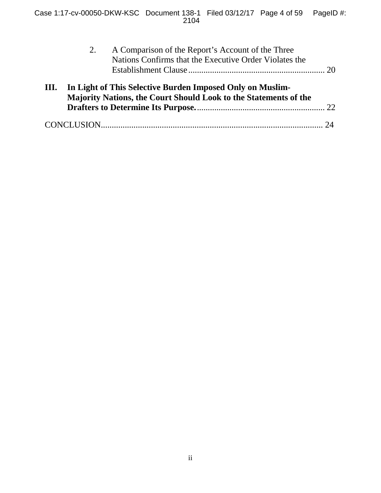| 2.                                                                                                                                 | A Comparison of the Report's Account of the Three<br>Nations Confirms that the Executive Order Violates the |  |  |  |
|------------------------------------------------------------------------------------------------------------------------------------|-------------------------------------------------------------------------------------------------------------|--|--|--|
| III. In Light of This Selective Burden Imposed Only on Muslim-<br>Majority Nations, the Court Should Look to the Statements of the |                                                                                                             |  |  |  |
|                                                                                                                                    |                                                                                                             |  |  |  |
|                                                                                                                                    |                                                                                                             |  |  |  |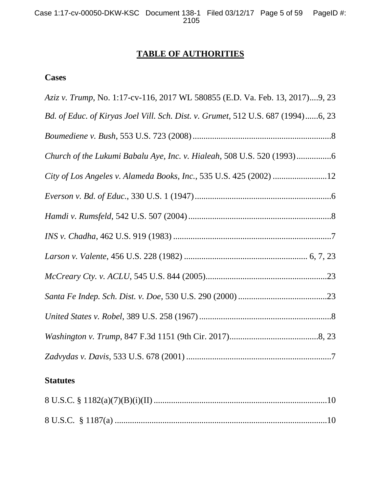## **TABLE OF AUTHORITIES**

## **Cases**

| Aziz v. Trump, No. 1:17-cv-116, 2017 WL 580855 (E.D. Va. Feb. 13, 2017)9, 23     |
|----------------------------------------------------------------------------------|
| Bd. of Educ. of Kiryas Joel Vill. Sch. Dist. v. Grumet, 512 U.S. 687 (1994)6, 23 |
|                                                                                  |
|                                                                                  |
| City of Los Angeles v. Alameda Books, Inc., 535 U.S. 425 (2002) 12               |
|                                                                                  |
|                                                                                  |
|                                                                                  |
|                                                                                  |
|                                                                                  |
|                                                                                  |
|                                                                                  |
|                                                                                  |
|                                                                                  |

## **Statutes**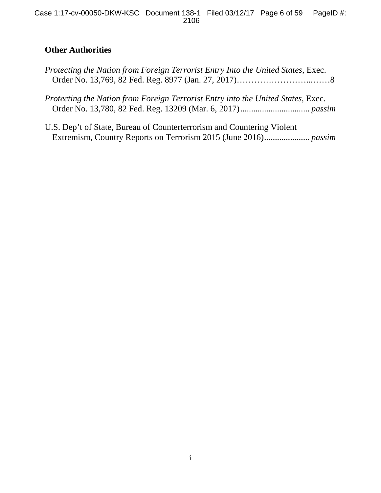## **Other Authorities**

| Protecting the Nation from Foreign Terrorist Entry Into the United States, Exec. |  |  |
|----------------------------------------------------------------------------------|--|--|
|                                                                                  |  |  |

- *Protecting the Nation from Foreign Terrorist Entry into the United States*, Exec. Order No. 13,780, 82 Fed. Reg. 13209 (Mar. 6, 2017)................................ *passim*
- U.S. Dep't of State, Bureau of Counterterrorism and Countering Violent Extremism, Country Reports on Terrorism 2015 (June 2016)..................... *passim*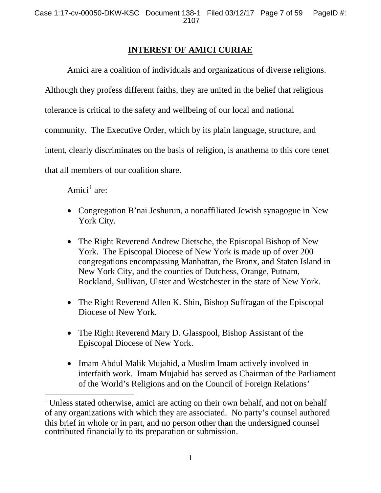## <span id="page-6-0"></span>**INTEREST OF AMICI CURIAE**

Amici are a coalition of individuals and organizations of diverse religions. Although they profess different faiths, they are united in the belief that religious tolerance is critical to the safety and wellbeing of our local and national community. The Executive Order, which by its plain language, structure, and intent, clearly discriminates on the basis of religion, is anathema to this core tenet that all members of our coalition share.

Amici<sup>[1](#page-11-3)</sup> are:

- Congregation B'nai Jeshurun, a nonaffiliated Jewish synagogue in New York City.
- The Right Reverend Andrew Dietsche, the Episcopal Bishop of New York. The Episcopal Diocese of New York is made up of over 200 congregations encompassing Manhattan, the Bronx, and Staten Island in New York City, and the counties of Dutchess, Orange, Putnam, Rockland, Sullivan, Ulster and Westchester in the state of New York.
- The Right Reverend Allen K. Shin, Bishop Suffragan of the Episcopal Diocese of New York.
- The Right Reverend Mary D. Glasspool, Bishop Assistant of the Episcopal Diocese of New York.
- Imam Abdul Malik Mujahid, a Muslim Imam actively involved in interfaith work. Imam Mujahid has served as Chairman of the Parliament of the World's Religions and on the Council of Foreign Relations'

<span id="page-6-1"></span><sup>&</sup>lt;sup>1</sup> Unless stated otherwise, amici are acting on their own behalf, and not on behalf of any organizations with which they are associated. No party's counsel authored this brief in whole or in part, and no person other than the undersigned counsel contributed financially to its preparation or submission.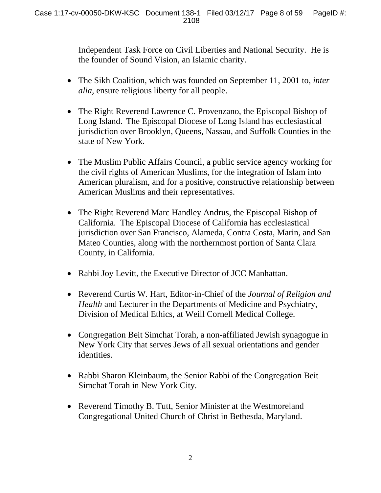Independent Task Force on Civil Liberties and National Security. He is the founder of Sound Vision, an Islamic charity.

- The Sikh Coalition, which was founded on September 11, 2001 to, *inter alia*, ensure religious liberty for all people.
- The Right Reverend Lawrence C. Provenzano, the Episcopal Bishop of Long Island. The Episcopal Diocese of Long Island has ecclesiastical jurisdiction over Brooklyn, Queens, Nassau, and Suffolk Counties in the state of New York.
- The Muslim Public Affairs Council, a public service agency working for the civil rights of American Muslims, for the integration of Islam into American pluralism, and for a positive, constructive relationship between American Muslims and their representatives.
- The Right Reverend Marc Handley Andrus, the Episcopal Bishop of California. The Episcopal Diocese of California has ecclesiastical jurisdiction over San Francisco, Alameda, Contra Costa, Marin, and San Mateo Counties, along with the northernmost portion of Santa Clara County, in California.
- Rabbi Joy Levitt, the Executive Director of JCC Manhattan.
- Reverend Curtis W. Hart, Editor-in-Chief of the *Journal of Religion and Health* and Lecturer in the Departments of Medicine and Psychiatry, Division of Medical Ethics, at Weill Cornell Medical College.
- Congregation Beit Simchat Torah, a non-affiliated Jewish synagogue in New York City that serves Jews of all sexual orientations and gender identities.
- Rabbi Sharon Kleinbaum, the Senior Rabbi of the Congregation Beit Simchat Torah in New York City.
- Reverend Timothy B. Tutt, Senior Minister at the Westmoreland Congregational United Church of Christ in Bethesda, Maryland.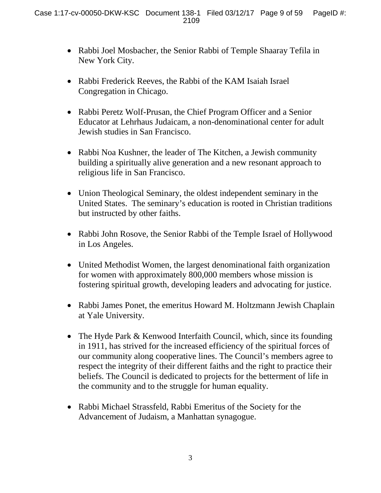- Rabbi Joel Mosbacher, the Senior Rabbi of Temple Shaaray Tefila in New York City.
- Rabbi Frederick Reeves, the Rabbi of the KAM Isaiah Israel Congregation in Chicago.
- Rabbi Peretz Wolf-Prusan, the Chief Program Officer and a Senior Educator at Lehrhaus Judaicam, a non-denominational center for adult Jewish studies in San Francisco.
- Rabbi Noa Kushner, the leader of The Kitchen, a Jewish community building a spiritually alive generation and a new resonant approach to religious life in San Francisco.
- Union Theological Seminary, the oldest independent seminary in the United States. The seminary's education is rooted in Christian traditions but instructed by other faiths.
- Rabbi John Rosove, the Senior Rabbi of the Temple Israel of Hollywood in Los Angeles.
- United Methodist Women, the largest denominational faith organization for women with approximately 800,000 members whose mission is fostering spiritual growth, developing leaders and advocating for justice.
- Rabbi James Ponet, the emeritus Howard M. Holtzmann Jewish Chaplain at Yale University.
- The Hyde Park & Kenwood Interfaith Council, which, since its founding in 1911, has strived for the increased efficiency of the spiritual forces of our community along cooperative lines. The Council's members agree to respect the integrity of their different faiths and the right to practice their beliefs. The Council is dedicated to projects for the betterment of life in the community and to the struggle for human equality.
- Rabbi Michael Strassfeld, Rabbi Emeritus of the Society for the Advancement of Judaism, a Manhattan synagogue.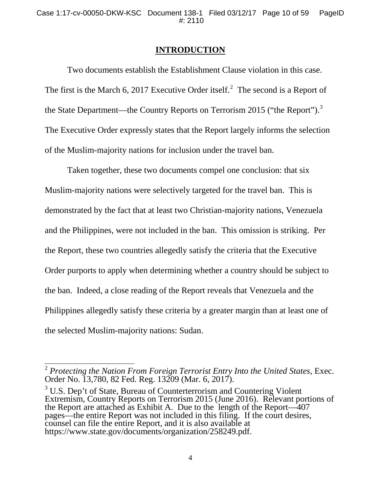#### <span id="page-9-0"></span>**INTRODUCTION**

Two documents establish the Establishment Clause violation in this case. The first is the March 6, [2](#page-6-1)017 Executive Order itself.<sup>2</sup> The second is a Report of the State Department—the Country Reports on Terrorism 2015 ("the Report").<sup>[3](#page-9-1)</sup> The Executive Order expressly states that the Report largely informs the selection of the Muslim-majority nations for inclusion under the travel ban.

Taken together, these two documents compel one conclusion: that six Muslim-majority nations were selectively targeted for the travel ban. This is demonstrated by the fact that at least two Christian-majority nations, Venezuela and the Philippines, were not included in the ban. This omission is striking. Per the Report, these two countries allegedly satisfy the criteria that the Executive Order purports to apply when determining whether a country should be subject to the ban. Indeed, a close reading of the Report reveals that Venezuela and the Philippines allegedly satisfy these criteria by a greater margin than at least one of the selected Muslim-majority nations: Sudan.

 <sup>2</sup> *Protecting the Nation From Foreign Terrorist Entry Into the United States*, Exec. Order No. 13,780, 82 Fed. Reg. 13209 (Mar. 6, 2017).

<span id="page-9-2"></span><span id="page-9-1"></span> $3 \text{ U.S.}$  Dep't of State, Bureau of Counterterrorism and Countering Violent Extremism, Country Reports on Terrorism 2015 (June 2016). Relevant portions of the Report are attached as Exhibit A. Due to the length of the Report—407 pages—the entire Report was not included in this filing. If the court desires, counsel can file the entire Report, and it is also available at https://www.state.gov/documents/organization/258249.pdf.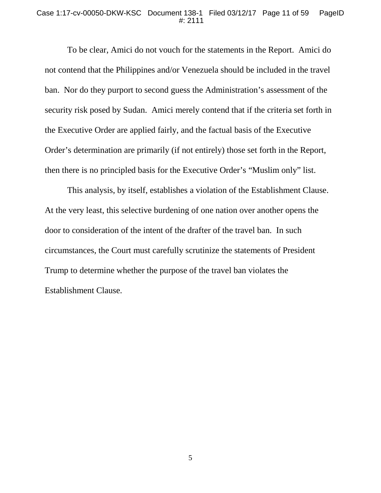#### Case 1:17-cv-00050-DKW-KSC Document 138-1 Filed 03/12/17 Page 11 of 59 PageID #: 2111

To be clear, Amici do not vouch for the statements in the Report. Amici do not contend that the Philippines and/or Venezuela should be included in the travel ban. Nor do they purport to second guess the Administration's assessment of the security risk posed by Sudan. Amici merely contend that if the criteria set forth in the Executive Order are applied fairly, and the factual basis of the Executive Order's determination are primarily (if not entirely) those set forth in the Report, then there is no principled basis for the Executive Order's "Muslim only" list.

This analysis, by itself, establishes a violation of the Establishment Clause. At the very least, this selective burdening of one nation over another opens the door to consideration of the intent of the drafter of the travel ban. In such circumstances, the Court must carefully scrutinize the statements of President Trump to determine whether the purpose of the travel ban violates the Establishment Clause.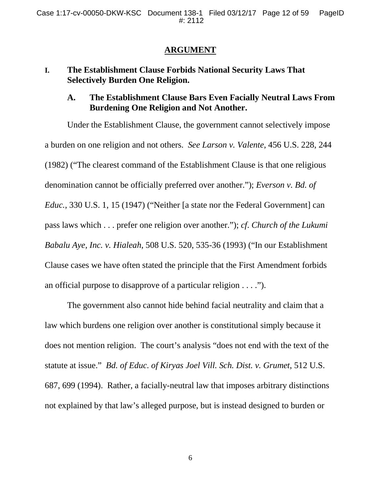### <span id="page-11-0"></span>**ARGUMENT**

## <span id="page-11-1"></span>**I. The Establishment Clause Forbids National Security Laws That Selectively Burden One Religion.**

## <span id="page-11-2"></span>**A. The Establishment Clause Bars Even Facially Neutral Laws From Burdening One Religion and Not Another.**

Under the Establishment Clause, the government cannot selectively impose a burden on one religion and not others. *See Larson v. Valente*, 456 U.S. 228, 244 (1982) ("The clearest command of the Establishment Clause is that one religious denomination cannot be officially preferred over another."); *Everson v. Bd. of Educ.*, 330 U.S. 1, 15 (1947) ("Neither [a state nor the Federal Government] can pass laws which . . . prefer one religion over another."); *cf*. *Church of the Lukumi Babalu Aye, Inc. v. Hialeah*, 508 U.S. 520, 535-36 (1993) ("In our Establishment Clause cases we have often stated the principle that the First Amendment forbids an official purpose to disapprove of a particular religion . . . .").

<span id="page-11-3"></span>The government also cannot hide behind facial neutrality and claim that a law which burdens one religion over another is constitutional simply because it does not mention religion. The court's analysis "does not end with the text of the statute at issue." *Bd. of Educ. of Kiryas Joel Vill. Sch. Dist. v. Grumet*, 512 U.S. 687, 699 (1994). Rather, a facially-neutral law that imposes arbitrary distinctions not explained by that law's alleged purpose, but is instead designed to burden or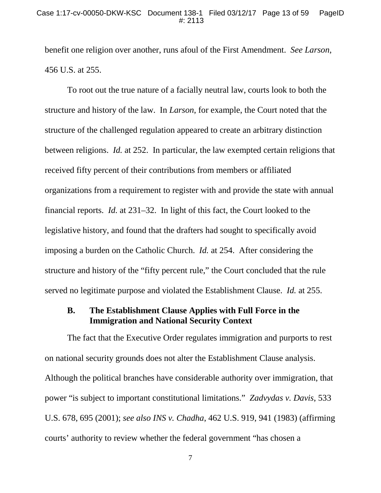benefit one religion over another, runs afoul of the First Amendment. *See Larson*, 456 U.S. at 255.

To root out the true nature of a facially neutral law, courts look to both the structure and history of the law. In *Larson*, for example, the Court noted that the structure of the challenged regulation appeared to create an arbitrary distinction between religions. *Id.* at 252. In particular, the law exempted certain religions that received fifty percent of their contributions from members or affiliated organizations from a requirement to register with and provide the state with annual financial reports. *Id.* at 231–32. In light of this fact, the Court looked to the legislative history, and found that the drafters had sought to specifically avoid imposing a burden on the Catholic Church. *Id.* at 254. After considering the structure and history of the "fifty percent rule," the Court concluded that the rule served no legitimate purpose and violated the Establishment Clause. *Id.* at 255.

## <span id="page-12-0"></span>**B. The Establishment Clause Applies with Full Force in the Immigration and National Security Context**

The fact that the Executive Order regulates immigration and purports to rest on national security grounds does not alter the Establishment Clause analysis. Although the political branches have considerable authority over immigration, that power "is subject to important constitutional limitations." *Zadvydas v. Davis*, 533 U.S. 678, 695 (2001); *see also INS v. Chadha*, 462 U.S. 919, 941 (1983) (affirming courts' authority to review whether the federal government "has chosen a

<sup>7</sup>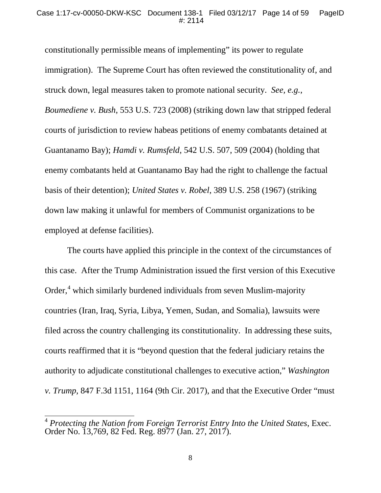constitutionally permissible means of implementing" its power to regulate immigration). The Supreme Court has often reviewed the constitutionality of, and struck down, legal measures taken to promote national security. *See, e.g.*, *Boumediene v. Bush*, 553 U.S. 723 (2008) (striking down law that stripped federal courts of jurisdiction to review habeas petitions of enemy combatants detained at Guantanamo Bay); *Hamdi v. Rumsfeld*, 542 U.S. 507, 509 (2004) (holding that enemy combatants held at Guantanamo Bay had the right to challenge the factual basis of their detention); *United States v. Robel*, 389 U.S. 258 (1967) (striking down law making it unlawful for members of Communist organizations to be employed at defense facilities).

The courts have applied this principle in the context of the circumstances of this case. After the Trump Administration issued the first version of this Executive Order,<sup>[4](#page-9-2)</sup> which similarly burdened individuals from seven Muslim-majority countries (Iran, Iraq, Syria, Libya, Yemen, Sudan, and Somalia), lawsuits were filed across the country challenging its constitutionality. In addressing these suits, courts reaffirmed that it is "beyond question that the federal judiciary retains the authority to adjudicate constitutional challenges to executive action," *Washington v. Trump*, 847 F.3d 1151, 1164 (9th Cir. 2017), and that the Executive Order "must

<span id="page-13-0"></span> <sup>4</sup> *Protecting the Nation from Foreign Terrorist Entry Into the United States*, Exec. Order No. 13,769, 82 Fed. Reg. 8977 (Jan. 27, 2017).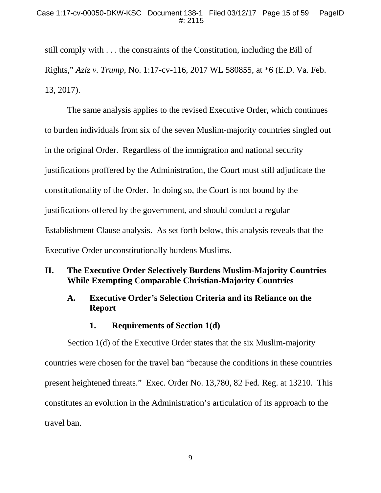still comply with . . . the constraints of the Constitution, including the Bill of Rights," *Aziz v. Trump*, No. 1:17-cv-116, 2017 WL 580855, at \*6 (E.D. Va. Feb. 13, 2017).

The same analysis applies to the revised Executive Order, which continues to burden individuals from six of the seven Muslim-majority countries singled out in the original Order. Regardless of the immigration and national security justifications proffered by the Administration, the Court must still adjudicate the constitutionality of the Order. In doing so, the Court is not bound by the justifications offered by the government, and should conduct a regular Establishment Clause analysis. As set forth below, this analysis reveals that the Executive Order unconstitutionally burdens Muslims.

## <span id="page-14-0"></span>**II. The Executive Order Selectively Burdens Muslim-Majority Countries While Exempting Comparable Christian-Majority Countries**

## <span id="page-14-1"></span>**A. Executive Order's Selection Criteria and its Reliance on the Report**

#### **1. Requirements of Section 1(d)**

<span id="page-14-2"></span>Section 1(d) of the Executive Order states that the six Muslim-majority countries were chosen for the travel ban "because the conditions in these countries present heightened threats." Exec. Order No. 13,780, 82 Fed. Reg. at 13210. This constitutes an evolution in the Administration's articulation of its approach to the travel ban.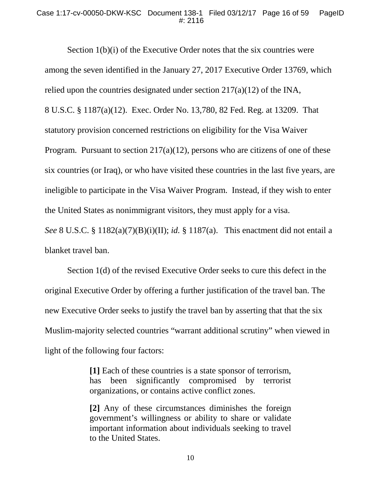Section 1(b)(i) of the Executive Order notes that the six countries were among the seven identified in the January 27, 2017 Executive Order 13769, which relied upon the countries designated under section 217(a)(12) of the INA, 8 U.S.C. § 1187(a)(12). Exec. Order No. 13,780, 82 Fed. Reg. at 13209. That statutory provision concerned restrictions on eligibility for the Visa Waiver Program. Pursuant to section  $217(a)(12)$ , persons who are citizens of one of these six countries (or Iraq), or who have visited these countries in the last five years, are ineligible to participate in the Visa Waiver Program. Instead, if they wish to enter the United States as nonimmigrant visitors, they must apply for a visa.

*See* 8 U.S.C. § 1182(a)(7)(B)(i)(II); *id.* § 1187(a). This enactment did not entail a blanket travel ban.

Section 1(d) of the revised Executive Order seeks to cure this defect in the original Executive Order by offering a further justification of the travel ban. The new Executive Order seeks to justify the travel ban by asserting that that the six Muslim-majority selected countries "warrant additional scrutiny" when viewed in light of the following four factors:

> **[1]** Each of these countries is a state sponsor of terrorism, has been significantly compromised by terrorist organizations, or contains active conflict zones.

> **[2]** Any of these circumstances diminishes the foreign government's willingness or ability to share or validate important information about individuals seeking to travel to the United States.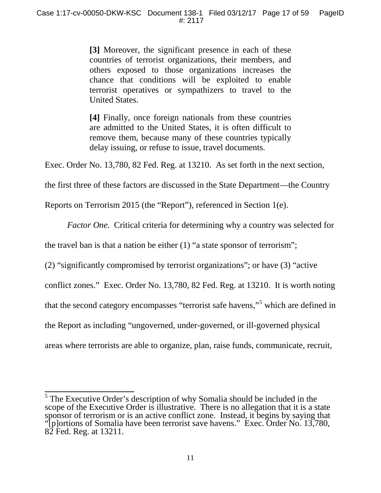**[3]** Moreover, the significant presence in each of these countries of terrorist organizations, their members, and others exposed to those organizations increases the chance that conditions will be exploited to enable terrorist operatives or sympathizers to travel to the United States.

**[4]** Finally, once foreign nationals from these countries are admitted to the United States, it is often difficult to remove them, because many of these countries typically delay issuing, or refuse to issue, travel documents.

Exec. Order No. 13,780, 82 Fed. Reg. at 13210. As set forth in the next section,

the first three of these factors are discussed in the State Department—the Country

Reports on Terrorism 2015 (the "Report"), referenced in Section 1(e).

*Factor One.* Critical criteria for determining why a country was selected for

the travel ban is that a nation be either (1) "a state sponsor of terrorism";

(2) "significantly compromised by terrorist organizations"; or have (3) "active

conflict zones." Exec. Order No. 13,780, 82 Fed. Reg. at 13210. It is worth noting

that the second category encompasses "terrorist safe havens,"[5](#page-13-0) which are defined in

the Report as including "ungoverned, under-governed, or ill-governed physical

areas where terrorists are able to organize, plan, raise funds, communicate, recruit,

<span id="page-16-0"></span><sup>&</sup>lt;sup>5</sup> The Executive Order's description of why Somalia should be included in the scope of the Executive Order is illustrative. There is no allegation that it is a state sponsor of terrorism or is an active conflict zone. Instead, it begins by saying that "[p]ortions of Somalia have been terrorist save havens." Exec. Order No. 13,780, 82 Fed. Reg. at 13211.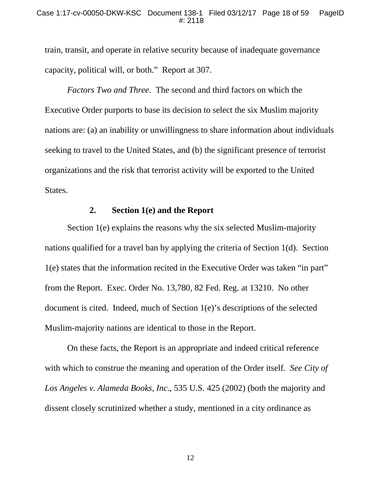train, transit, and operate in relative security because of inadequate governance capacity, political will, or both." Report at 307.

*Factors Two and Three.* The second and third factors on which the Executive Order purports to base its decision to select the six Muslim majority nations are: (a) an inability or unwillingness to share information about individuals seeking to travel to the United States, and (b) the significant presence of terrorist organizations and the risk that terrorist activity will be exported to the United States.

### **2. Section 1(e) and the Report**

<span id="page-17-0"></span>Section 1(e) explains the reasons why the six selected Muslim-majority nations qualified for a travel ban by applying the criteria of Section 1(d). Section 1(e) states that the information recited in the Executive Order was taken "in part" from the Report. Exec. Order No. 13,780, 82 Fed. Reg. at 13210. No other document is cited. Indeed, much of Section 1(e)'s descriptions of the selected Muslim-majority nations are identical to those in the Report.

On these facts, the Report is an appropriate and indeed critical reference with which to construe the meaning and operation of the Order itself. *See City of Los Angeles v. Alameda Books, Inc.*, 535 U.S. 425 (2002) (both the majority and dissent closely scrutinized whether a study, mentioned in a city ordinance as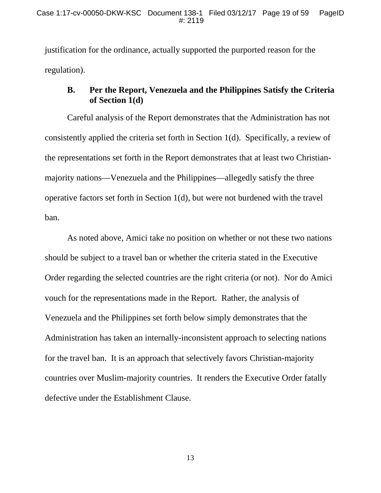justification for the ordinance, actually supported the purported reason for the regulation).

## <span id="page-18-0"></span>**B. Per the Report, Venezuela and the Philippines Satisfy the Criteria of Section 1(d)**

Careful analysis of the Report demonstrates that the Administration has not consistently applied the criteria set forth in Section 1(d). Specifically, a review of the representations set forth in the Report demonstrates that at least two Christianmajority nations—Venezuela and the Philippines—allegedly satisfy the three operative factors set forth in Section 1(d), but were not burdened with the travel ban.

As noted above, Amici take no position on whether or not these two nations should be subject to a travel ban or whether the criteria stated in the Executive Order regarding the selected countries are the right criteria (or not). Nor do Amici vouch for the representations made in the Report. Rather, the analysis of Venezuela and the Philippines set forth below simply demonstrates that the Administration has taken an internally-inconsistent approach to selecting nations for the travel ban. It is an approach that selectively favors Christian-majority countries over Muslim-majority countries. It renders the Executive Order fatally defective under the Establishment Clause.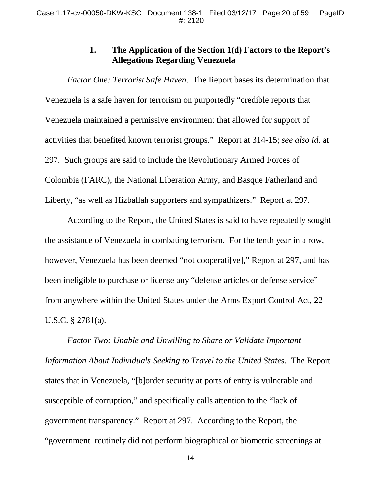## **1. The Application of the Section 1(d) Factors to the Report's Allegations Regarding Venezuela**

<span id="page-19-0"></span>*Factor One: Terrorist Safe Haven*. The Report bases its determination that Venezuela is a safe haven for terrorism on purportedly "credible reports that Venezuela maintained a permissive environment that allowed for support of activities that benefited known terrorist groups." Report at 314-15; *see also id.* at 297. Such groups are said to include the Revolutionary Armed Forces of Colombia (FARC), the National Liberation Army, and Basque Fatherland and Liberty, "as well as Hizballah supporters and sympathizers." Report at 297.

According to the Report, the United States is said to have repeatedly sought the assistance of Venezuela in combating terrorism. For the tenth year in a row, however, Venezuela has been deemed "not cooperati[ve]," Report at 297, and has been ineligible to purchase or license any "defense articles or defense service" from anywhere within the United States under the Arms Export Control Act, 22 U.S.C. § 2781(a).

*Factor Two: Unable and Unwilling to Share or Validate Important Information About Individuals Seeking to Travel to the United States.* The Report states that in Venezuela, "[b]order security at ports of entry is vulnerable and susceptible of corruption," and specifically calls attention to the "lack of government transparency." Report at 297. According to the Report, the "government routinely did not perform biographical or biometric screenings at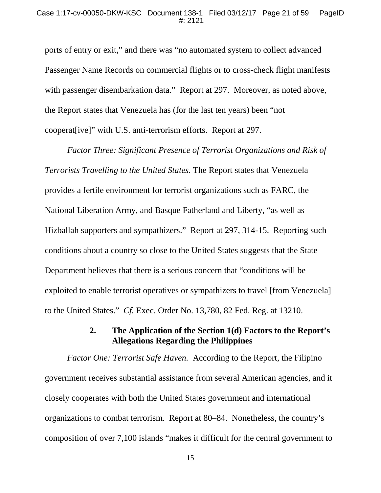ports of entry or exit," and there was "no automated system to collect advanced Passenger Name Records on commercial flights or to cross-check flight manifests with passenger disembarkation data." Report at 297. Moreover, as noted above, the Report states that Venezuela has (for the last ten years) been "not cooperat[ive]" with U.S. anti-terrorism efforts. Report at 297.

*Factor Three: Significant Presence of Terrorist Organizations and Risk of Terrorists Travelling to the United States.* The Report states that Venezuela provides a fertile environment for terrorist organizations such as FARC, the National Liberation Army, and Basque Fatherland and Liberty, "as well as Hizballah supporters and sympathizers." Report at 297, 314-15. Reporting such conditions about a country so close to the United States suggests that the State Department believes that there is a serious concern that "conditions will be exploited to enable terrorist operatives or sympathizers to travel [from Venezuela] to the United States." *Cf.* Exec. Order No. 13,780, 82 Fed. Reg. at 13210.

## **2. The Application of the Section 1(d) Factors to the Report's Allegations Regarding the Philippines**

<span id="page-20-0"></span>*Factor One: Terrorist Safe Haven.* According to the Report, the Filipino government receives substantial assistance from several American agencies, and it closely cooperates with both the United States government and international organizations to combat terrorism. Report at 80–84. Nonetheless, the country's composition of over 7,100 islands "makes it difficult for the central government to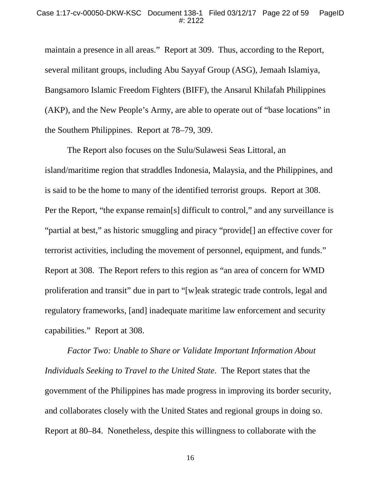maintain a presence in all areas." Report at 309. Thus, according to the Report, several militant groups, including Abu Sayyaf Group (ASG), Jemaah Islamiya, Bangsamoro Islamic Freedom Fighters (BIFF), the Ansarul Khilafah Philippines (AKP), and the New People's Army, are able to operate out of "base locations" in the Southern Philippines. Report at 78–79, 309.

The Report also focuses on the Sulu/Sulawesi Seas Littoral, an island/maritime region that straddles Indonesia, Malaysia, and the Philippines, and is said to be the home to many of the identified terrorist groups. Report at 308. Per the Report, "the expanse remain[s] difficult to control," and any surveillance is "partial at best," as historic smuggling and piracy "provide[] an effective cover for terrorist activities, including the movement of personnel, equipment, and funds." Report at 308. The Report refers to this region as "an area of concern for WMD proliferation and transit" due in part to "[w]eak strategic trade controls, legal and regulatory frameworks, [and] inadequate maritime law enforcement and security capabilities." Report at 308.

*Factor Two: Unable to Share or Validate Important Information About Individuals Seeking to Travel to the United State*. The Report states that the government of the Philippines has made progress in improving its border security, and collaborates closely with the United States and regional groups in doing so. Report at 80–84. Nonetheless, despite this willingness to collaborate with the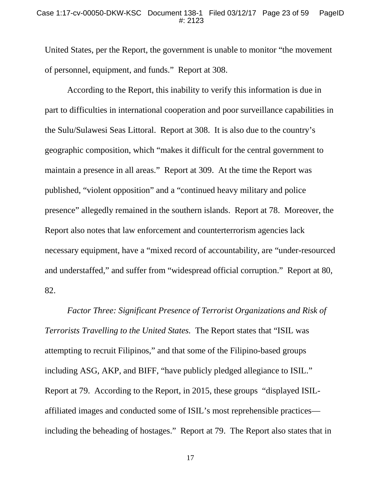United States, per the Report, the government is unable to monitor "the movement of personnel, equipment, and funds." Report at 308.

According to the Report, this inability to verify this information is due in part to difficulties in international cooperation and poor surveillance capabilities in the Sulu/Sulawesi Seas Littoral. Report at 308. It is also due to the country's geographic composition, which "makes it difficult for the central government to maintain a presence in all areas." Report at 309. At the time the Report was published, "violent opposition" and a "continued heavy military and police presence" allegedly remained in the southern islands. Report at 78. Moreover, the Report also notes that law enforcement and counterterrorism agencies lack necessary equipment, have a "mixed record of accountability, are "under-resourced and understaffed," and suffer from "widespread official corruption." Report at 80, 82.

*Factor Three: Significant Presence of Terrorist Organizations and Risk of Terrorists Travelling to the United States.* The Report states that "ISIL was attempting to recruit Filipinos," and that some of the Filipino-based groups including ASG, AKP, and BIFF, "have publicly pledged allegiance to ISIL." Report at 79. According to the Report, in 2015, these groups "displayed ISILaffiliated images and conducted some of ISIL's most reprehensible practices including the beheading of hostages." Report at 79. The Report also states that in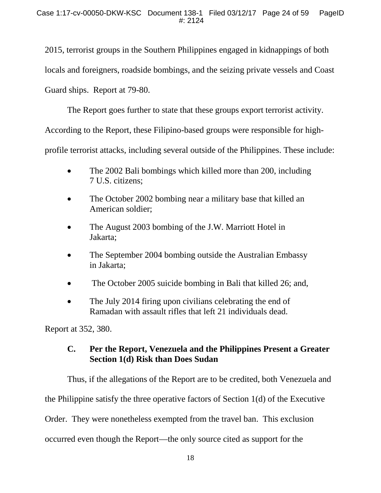2015, terrorist groups in the Southern Philippines engaged in kidnappings of both locals and foreigners, roadside bombings, and the seizing private vessels and Coast Guard ships. Report at 79-80.

The Report goes further to state that these groups export terrorist activity.

According to the Report, these Filipino-based groups were responsible for high-

profile terrorist attacks, including several outside of the Philippines. These include:

- The 2002 Bali bombings which killed more than 200, including 7 U.S. citizens;
- The October 2002 bombing near a military base that killed an American soldier;
- The August 2003 bombing of the J.W. Marriott Hotel in Jakarta;
- The September 2004 bombing outside the Australian Embassy in Jakarta;
- The October 2005 suicide bombing in Bali that killed 26; and,
- The July 2014 firing upon civilians celebrating the end of Ramadan with assault rifles that left 21 individuals dead.

<span id="page-23-0"></span>Report at 352, 380.

## **C. Per the Report, Venezuela and the Philippines Present a Greater Section 1(d) Risk than Does Sudan**

Thus, if the allegations of the Report are to be credited, both Venezuela and the Philippine satisfy the three operative factors of Section 1(d) of the Executive Order. They were nonetheless exempted from the travel ban. This exclusion occurred even though the Report—the only source cited as support for the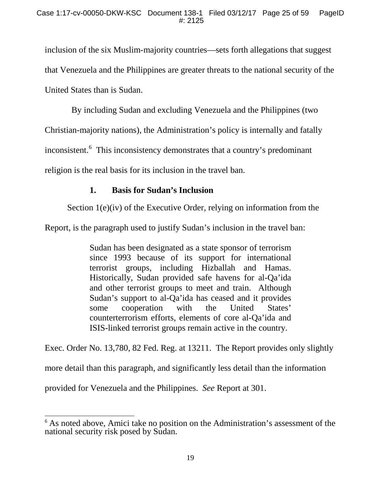inclusion of the six Muslim-majority countries—sets forth allegations that suggest that Venezuela and the Philippines are greater threats to the national security of the United States than is Sudan.

By including Sudan and excluding Venezuela and the Philippines (two Christian-majority nations), the Administration's policy is internally and fatally inconsistent. [6](#page-16-0) This inconsistency demonstrates that a country's predominant religion is the real basis for its inclusion in the travel ban.

## **1. Basis for Sudan's Inclusion**

<span id="page-24-0"></span>Section 1(e)(iv) of the Executive Order, relying on information from the

Report, is the paragraph used to justify Sudan's inclusion in the travel ban:

Sudan has been designated as a state sponsor of terrorism since 1993 because of its support for international terrorist groups, including Hizballah and Hamas. Historically, Sudan provided safe havens for al-Qa'ida and other terrorist groups to meet and train. Although Sudan's support to al-Qa'ida has ceased and it provides some cooperation with the United States' counterterrorism efforts, elements of core al-Qa'ida and ISIS-linked terrorist groups remain active in the country.

Exec. Order No. 13,780, 82 Fed. Reg. at 13211. The Report provides only slightly more detail than this paragraph, and significantly less detail than the information provided for Venezuela and the Philippines. *See* Report at 301.

<span id="page-24-1"></span> $6$  As noted above, Amici take no position on the Administration's assessment of the national security risk posed by Sudan.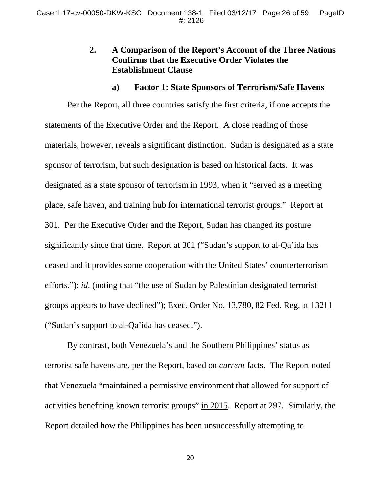## <span id="page-25-0"></span>**2. A Comparison of the Report's Account of the Three Nations Confirms that the Executive Order Violates the Establishment Clause**

#### **a) Factor 1: State Sponsors of Terrorism/Safe Havens**

Per the Report, all three countries satisfy the first criteria, if one accepts the statements of the Executive Order and the Report. A close reading of those materials, however, reveals a significant distinction. Sudan is designated as a state sponsor of terrorism, but such designation is based on historical facts. It was designated as a state sponsor of terrorism in 1993, when it "served as a meeting place, safe haven, and training hub for international terrorist groups." Report at 301. Per the Executive Order and the Report, Sudan has changed its posture significantly since that time. Report at 301 ("Sudan's support to al-Qa'ida has ceased and it provides some cooperation with the United States' counterterrorism efforts."); *id*. (noting that "the use of Sudan by Palestinian designated terrorist groups appears to have declined"); Exec. Order No. 13,780, 82 Fed. Reg. at 13211 ("Sudan's support to al-Qa'ida has ceased.").

By contrast, both Venezuela's and the Southern Philippines' status as terrorist safe havens are, per the Report, based on *current* facts. The Report noted that Venezuela "maintained a permissive environment that allowed for support of activities benefiting known terrorist groups" in 2015. Report at 297. Similarly, the Report detailed how the Philippines has been unsuccessfully attempting to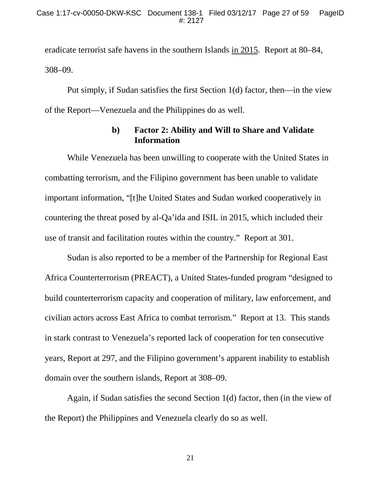eradicate terrorist safe havens in the southern Islands in 2015. Report at 80–84, 308–09.

Put simply, if Sudan satisfies the first Section 1(d) factor, then—in the view of the Report—Venezuela and the Philippines do as well.

## **b) Factor 2: Ability and Will to Share and Validate Information**

While Venezuela has been unwilling to cooperate with the United States in combatting terrorism, and the Filipino government has been unable to validate important information, "[t]he United States and Sudan worked cooperatively in countering the threat posed by al-Qa'ida and ISIL in 2015, which included their use of transit and facilitation routes within the country." Report at 301.

Sudan is also reported to be a member of the Partnership for Regional East Africa Counterterrorism (PREACT), a United States-funded program "designed to build counterterrorism capacity and cooperation of military, law enforcement, and civilian actors across East Africa to combat terrorism." Report at 13. This stands in stark contrast to Venezuela's reported lack of cooperation for ten consecutive years, Report at 297, and the Filipino government's apparent inability to establish domain over the southern islands, Report at 308–09.

Again, if Sudan satisfies the second Section 1(d) factor, then (in the view of the Report) the Philippines and Venezuela clearly do so as well.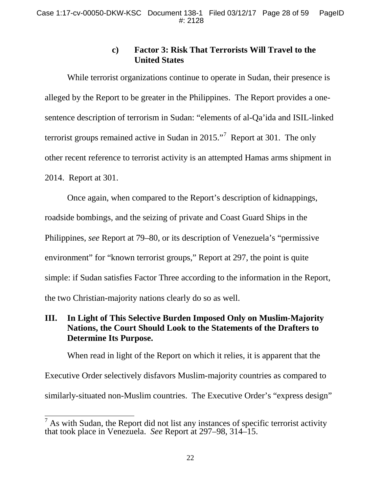## **c) Factor 3: Risk That Terrorists Will Travel to the United States**

While terrorist organizations continue to operate in Sudan, their presence is alleged by the Report to be greater in the Philippines. The Report provides a onesentence description of terrorism in Sudan: "elements of al-Qa'ida and ISIL-linked terrorist groups remained active in Sudan in 2015."<sup>[7](#page-24-1)</sup> Report at 301. The only other recent reference to terrorist activity is an attempted Hamas arms shipment in 2014. Report at 301.

Once again, when compared to the Report's description of kidnappings, roadside bombings, and the seizing of private and Coast Guard Ships in the Philippines, *see* Report at 79–80, or its description of Venezuela's "permissive environment" for "known terrorist groups," Report at 297, the point is quite simple: if Sudan satisfies Factor Three according to the information in the Report, the two Christian-majority nations clearly do so as well.

## <span id="page-27-0"></span>**III. In Light of This Selective Burden Imposed Only on Muslim-Majority Nations, the Court Should Look to the Statements of the Drafters to Determine Its Purpose.**

When read in light of the Report on which it relies, it is apparent that the Executive Order selectively disfavors Muslim-majority countries as compared to similarly-situated non-Muslim countries. The Executive Order's "express design"

 $<sup>7</sup>$  As with Sudan, the Report did not list any instances of specific terrorist activity</sup> that took place in Venezuela. *See* Report at 297–98, 314–15.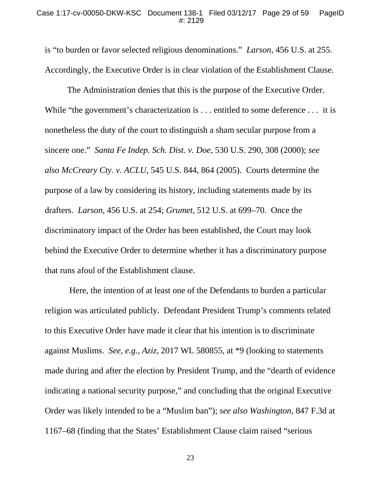is "to burden or favor selected religious denominations." *Larson*, 456 U.S. at 255. Accordingly, the Executive Order is in clear violation of the Establishment Clause.

The Administration denies that this is the purpose of the Executive Order. While "the government's characterization is . . . entitled to some deference . . . it is nonetheless the duty of the court to distinguish a sham secular purpose from a sincere one." *Santa Fe Indep. Sch. Dist. v. Doe*, 530 U.S. 290, 308 (2000); *see also McCreary Cty. v. ACLU*, 545 U.S. 844, 864 (2005). Courts determine the purpose of a law by considering its history, including statements made by its drafters. *Larson*, 456 U.S. at 254; *Grumet*, 512 U.S. at 699–70. Once the discriminatory impact of the Order has been established, the Court may look behind the Executive Order to determine whether it has a discriminatory purpose that runs afoul of the Establishment clause.

Here, the intention of at least one of the Defendants to burden a particular religion was articulated publicly. Defendant President Trump's comments related to this Executive Order have made it clear that his intention is to discriminate against Muslims. *See, e.g.*, *Aziz*, 2017 WL 580855, at \*9 (looking to statements made during and after the election by President Trump, and the "dearth of evidence indicating a national security purpose," and concluding that the original Executive Order was likely intended to be a "Muslim ban"); *see also Washington*, 847 F.3d at 1167–68 (finding that the States' Establishment Clause claim raised "serious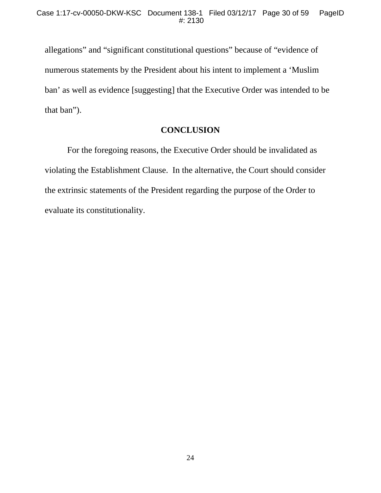allegations" and "significant constitutional questions" because of "evidence of numerous statements by the President about his intent to implement a 'Muslim ban' as well as evidence [suggesting] that the Executive Order was intended to be that ban").

#### **CONCLUSION**

For the foregoing reasons, the Executive Order should be invalidated as violating the Establishment Clause. In the alternative, the Court should consider the extrinsic statements of the President regarding the purpose of the Order to evaluate its constitutionality.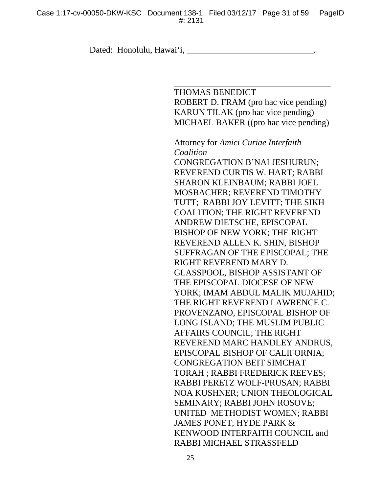Dated: Honolulu, Hawai'i,

THOMAS BENEDICT ROBERT D. FRAM (pro hac vice pending) KARUN TILAK (pro hac vice pending) MICHAEL BAKER ((pro hac vice pending) Attorney for *Amici Curiae Interfaith Coalition* CONGREGATION B'NAI JESHURUN; REVEREND CURTIS W. HART; RABBI SHARON KLEINBAUM; RABBI JOEL MOSBACHER; REVEREND TIMOTHY TUTT; RABBI JOY LEVITT; THE SIKH COALITION; THE RIGHT REVEREND ANDREW DIETSCHE, EPISCOPAL BISHOP OF NEW YORK; THE RIGHT REVEREND ALLEN K. SHIN, BISHOP SUFFRAGAN OF THE EPISCOPAL; THE RIGHT REVEREND MARY D. GLASSPOOL, BISHOP ASSISTANT OF THE EPISCOPAL DIOCESE OF NEW YORK; IMAM ABDUL MALIK MUJAHID; THE RIGHT REVEREND LAWRENCE C. PROVENZANO, EPISCOPAL BISHOP OF LONG ISLAND; THE MUSLIM PUBLIC AFFAIRS COUNCIL; THE RIGHT REVEREND MARC HANDLEY ANDRUS, EPISCOPAL BISHOP OF CALIFORNIA; CONGREGATION BEIT SIMCHAT TORAH ; RABBI FREDERICK REEVES; RABBI PERETZ WOLF-PRUSAN; RABBI NOA KUSHNER; UNION THEOLOGICAL SEMINARY; RABBI JOHN ROSOVE; UNITED METHODIST WOMEN; RABBI JAMES PONET; HYDE PARK & KENWOOD INTERFAITH COUNCIL and RABBI MICHAEL STRASSFELD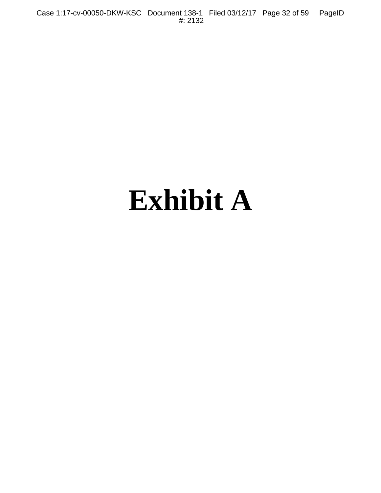Case 1:17-cv-00050-DKW-KSC Document 138-1 Filed 03/12/17 Page 32 of 59 PageID #: 2132

## **Exhibit A**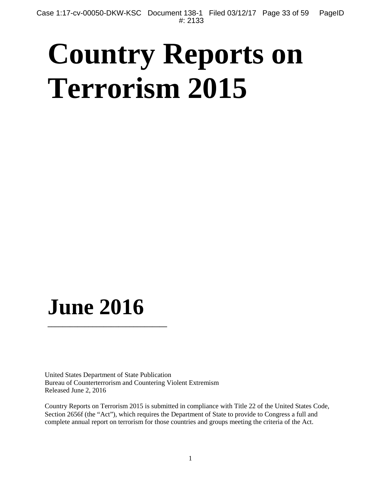# **Country Reports on Terrorism 2015**

## **June 2016**

**\_\_\_\_\_\_\_\_\_\_\_\_\_\_\_\_\_\_\_\_\_\_\_\_\_\_\_\_\_\_\_\_**

United States Department of State Publication Bureau of Counterterrorism and Countering Violent Extremism Released June 2, 2016

Country Reports on Terrorism 2015 is submitted in compliance with Title 22 of the United States Code, Section 2656f (the "Act"), which requires the Department of State to provide to Congress a full and complete annual report on terrorism for those countries and groups meeting the criteria of the Act.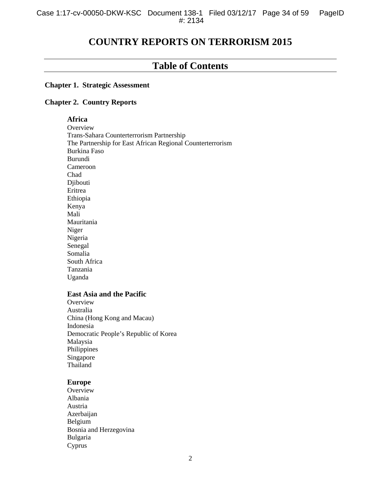Case 1:17-cv-00050-DKW-KSC Document 138-1 Filed 03/12/17 Page 34 of 59 PageID #: 2134

## **COUNTRY REPORTS ON TERRORISM 2015**

## **Table of Contents**

#### **Chapter 1. Strategic Assessment**

#### **Chapter 2. Country Reports**

#### **[Africa](http://www.intelink.sgov.gov/wiki/Africa_Terrorism_Reports#Africa_Overview#Africa_Overview)**

**Overview** Trans-Sahara Counterterrorism Partnership The Partnership for East African Regional Counterterrorism Burkina Faso Burundi Cameroon Chad [Djibouti](http://www.intelink.sgov.gov/wiki/Africa_Terrorism_Reports#Djibouti#Djibouti) Eritrea [Ethiopia](http://www.intelink.sgov.gov/wiki/Africa_Terrorism_Reports#Ethiopia#Ethiopia) [Kenya](http://www.intelink.sgov.gov/wiki/Africa_Terrorism_Reports#Kenya#Kenya) [Mali](http://www.intelink.sgov.gov/wiki/Africa_Terrorism_Reports#Mali#Mali) [Mauritania](http://www.intelink.sgov.gov/wiki/Africa_Terrorism_Reports#Mauritania#Mauritania) Niger [Nigeria](http://www.intelink.sgov.gov/wiki/Africa_Terrorism_Reports#Nigeria#Nigeria) Senegal [Somalia](http://www.intelink.sgov.gov/wiki/Africa_Terrorism_Reports#Somalia#Somalia) South Africa [Tanzania](http://www.intelink.sgov.gov/wiki/Africa_Terrorism_Reports#Tanzania#Tanzania) [Uganda](http://www.intelink.sgov.gov/wiki/Africa_Terrorism_Reports#Uganda#Uganda)

#### **[East Asia and the Pacific](http://www.intelink.sgov.gov/wiki/East_Asia_and_Pacific_Terrorism_Reports#East_Asia_and_Pacific_Overview#East_Asia_and_Pacific_Overview)**

**Overview** Australia [China](http://www.intelink.sgov.gov/wiki/East_Asia_and_Pacific_Terrorism_Reports#China#China) [\(Hong Kong](http://www.intelink.sgov.gov/wiki/East_Asia_and_Pacific_Terrorism_Reports#Hong_Kong#Hong_Kong) an[d Macau\)](http://www.intelink.sgov.gov/wiki/East_Asia_and_Pacific_Terrorism_Reports#Macau#Macau) [Indonesia](http://www.intelink.sgov.gov/wiki/East_Asia_and_Pacific_Terrorism_Reports#Indonesia#Indonesia) Democratic People's Republic of Korea [Malaysia](http://www.intelink.sgov.gov/wiki/East_Asia_and_Pacific_Terrorism_Reports#Malaysia#Malaysia) **[Philippines](http://www.intelink.sgov.gov/wiki/East_Asia_and_Pacific_Terrorism_Reports#Philippines#Philippines)** [Singapore](http://www.intelink.sgov.gov/wiki/East_Asia_and_Pacific_Terrorism_Reports#Singapore#Singapore) [Thailand](http://www.intelink.sgov.gov/wiki/East_Asia_and_Pacific_Terrorism_Reports#Thailand#Thailand)

#### **[Europe](http://www.intelink.sgov.gov/wiki/Europe_and_Eurasia_Terrorism_Reports#Europe_and_Eurasia_Overview#Europe_and_Eurasia_Overview)**

**Overview** Albania [Austria](http://www.intelink.sgov.gov/wiki/Europe_and_Eurasia_Terrorism_Reports#Austria#Austria) [Azerbaijan](http://www.intelink.sgov.gov/wiki/Europe_and_Eurasia_Terrorism_Reports#Azerbaijan#Azerbaijan) [Belgium](http://www.intelink.sgov.gov/wiki/Europe_and_Eurasia_Terrorism_Reports#Belgium#Belgium) [Bosnia and Herzegovina](http://www.intelink.sgov.gov/wiki/Europe_and_Eurasia_Terrorism_Reports#Bosnia_and_Herzegovina#Bosnia_and_Herzegovina) Bulgaria Cyprus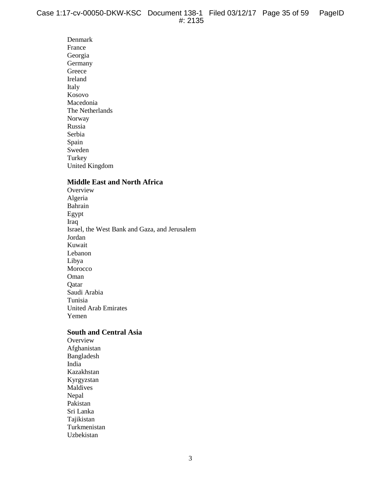[Denmark](http://www.intelink.sgov.gov/wiki/Europe_and_Eurasia_Terrorism_Reports#Denmark#Denmark) [France](http://www.intelink.sgov.gov/wiki/Europe_and_Eurasia_Terrorism_Reports#France#France) [Georgia](http://www.intelink.sgov.gov/wiki/Europe_and_Eurasia_Terrorism_Reports#Georgia#Georgia) [Germany](http://www.intelink.sgov.gov/wiki/Europe_and_Eurasia_Terrorism_Reports#Germany#Germany) [Greece](http://www.intelink.sgov.gov/wiki/Europe_and_Eurasia_Terrorism_Reports#Greece#Greece) [Ireland](http://www.intelink.sgov.gov/wiki/Europe_and_Eurasia_Terrorism_Reports#Ireland#Ireland) [Italy](http://www.intelink.sgov.gov/wiki/Europe_and_Eurasia_Terrorism_Reports#Italy#Italy) Kosovo Macedonia [The Netherlands](http://www.intelink.sgov.gov/wiki/Europe_and_Eurasia_Terrorism_Reports#The_Netherlands#The_Netherlands) [Norway](http://www.intelink.sgov.gov/wiki/Europe_and_Eurasia_Terrorism_Reports#Norway#Norway) [Russia](http://www.intelink.sgov.gov/wiki/Europe_and_Eurasia_Terrorism_Reports#Russia#Russia) [Serbia](http://www.intelink.sgov.gov/wiki/Europe_and_Eurasia_Terrorism_Reports#Serbia_and_Montenegro#Serbia_and_Montenegro) [Spain](http://www.intelink.sgov.gov/wiki/Europe_and_Eurasia_Terrorism_Reports#Serbia_and_Montenegro#Serbia_and_Montenegro) [Sweden](http://www.intelink.sgov.gov/wiki/Europe_and_Eurasia_Terrorism_Reports#Sweden#Sweden) [Turkey](http://www.intelink.sgov.gov/wiki/Europe_and_Eurasia_Terrorism_Reports#Turkey#Turkey) [United Kingdom](http://www.intelink.sgov.gov/wiki/Europe_and_Eurasia_Terrorism_Reports#United_Kingdom#United_Kingdom)

#### **[Middle East and North Africa](http://www.intelink.sgov.gov/wiki/Middle_East_and_North_Africa_Terrorism_Reports#Middle_East_and_North_Africa_Overview#Middle_East_and_North_Africa_Overview)**

**Overview** [Algeria](http://www.intelink.sgov.gov/wiki/Middle_East_and_North_Africa_Terrorism_Reports#Algeria#Algeria) Bahrain [Egypt](http://www.intelink.sgov.gov/wiki/Middle_East_and_North_Africa_Terrorism_Reports#Egypt#Egypt) [Iraq](http://www.intelink.sgov.gov/wiki/Middle_East_and_North_Africa_Terrorism_Reports#Iraq#Iraq) Israel, the West Bank and Gaza, and Jerusalem [Jordan](http://www.intelink.sgov.gov/wiki/Middle_East_and_North_Africa_Terrorism_Reports#Jordan#Jordan) [Kuwait](http://www.intelink.sgov.gov/wiki/Middle_East_and_North_Africa_Terrorism_Reports#Kuwait#Kuwait) Lebanon Libya Morocco [Oman](http://www.intelink.sgov.gov/wiki/Middle_East_and_North_Africa_Terrorism_Reports#Oman#Oman) **O**atar [Saudi Arabia](http://www.intelink.sgov.gov/wiki/Middle_East_and_North_Africa_Terrorism_Reports#Saudi_Arabia#Saudi_Arabia) [Tunisia](http://www.intelink.sgov.gov/wiki/Middle_East_and_North_Africa_Terrorism_Reports#Tunisia#Tunisia) [United Arab Emirates](http://www.intelink.sgov.gov/wiki/Middle_East_and_North_Africa_Terrorism_Reports#United_Arab_Emirates#United_Arab_Emirates) [Yemen](http://www.intelink.sgov.gov/wiki/Middle_East_and_North_Africa_Terrorism_Reports#Yemen#Yemen)

#### **[South and Central Asia](http://www.intelink.sgov.gov/wiki/South_Asia_Terrorism_Reports#South_Asia_Overview#South_Asia_Overview)**

**Overview** [Afghanistan](http://www.intelink.sgov.gov/wiki/South_Asia_Terrorism_Reports#Afghanistan#Afghanistan) [Bangladesh](http://www.intelink.sgov.gov/wiki/South_Asia_Terrorism_Reports#Bangladesh#Bangladesh) [India](http://www.intelink.sgov.gov/wiki/South_Asia_Terrorism_Reports#India#India) [Kazakhstan](http://www.intelink.sgov.gov/wiki/Europe_and_Eurasia_Terrorism_Reports#Kazakhstan#Kazakhstan) [Kyrgyzstan](http://www.intelink.sgov.gov/wiki/Europe_and_Eurasia_Terrorism_Reports#Kyrgyzstan#Kyrgyzstan) Maldives [Nepal](http://www.intelink.sgov.gov/wiki/South_Asia_Terrorism_Reports#Nepal#Nepal) [Pakistan](http://www.intelink.sgov.gov/wiki/South_Asia_Terrorism_Reports#Pakistan#Pakistan) [Sri Lanka](http://www.intelink.sgov.gov/wiki/South_Asia_Terrorism_Reports#Sri_Lanka#Sri_Lanka) [Tajikistan](http://www.intelink.sgov.gov/wiki/Europe_and_Eurasia_Terrorism_Reports#Tajikistan#Tajikistan) [Turkmenistan](http://www.intelink.sgov.gov/wiki/Europe_and_Eurasia_Terrorism_Reports#Turkmenistan#Turkmenistan) [Uzbekistan](http://www.intelink.sgov.gov/wiki/Europe_and_Eurasia_Terrorism_Reports#Uzbekistan#Uzbekistan)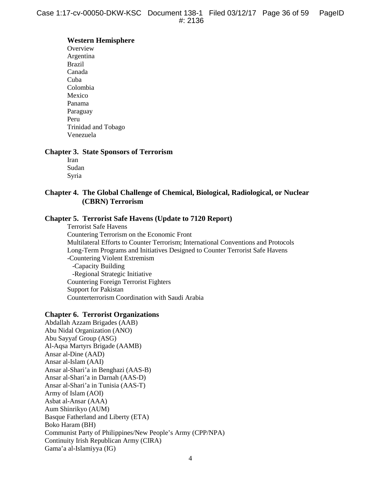#### **[Western Hemisphere](http://www.intelink.sgov.gov/wiki/Western_Hemisphere_Terrorism_Reports#Western_Hemisphere_Overview#Western_Hemisphere_Overview)**

**Overview** [Argentina](http://www.intelink.sgov.gov/wiki/Western_Hemisphere_Terrorism_Reports#Argentina#Argentina) Brazil [Canada](http://www.intelink.sgov.gov/wiki/Western_Hemisphere_Terrorism_Reports#Canada#Canada) Cuba [Colombia](http://www.intelink.sgov.gov/wiki/Western_Hemisphere_Terrorism_Reports#Colombia#Colombia) [Mexico](http://www.intelink.sgov.gov/wiki/Western_Hemisphere_Terrorism_Reports#Mexico#Mexico) [Panama](http://www.intelink.sgov.gov/wiki/Western_Hemisphere_Terrorism_Reports#Panama#Panama) Paraguay [Peru](http://www.intelink.sgov.gov/wiki/Western_Hemisphere_Terrorism_Reports#Peru#Peru) Trinidad and Tobago [Venezuela](http://www.intelink.sgov.gov/wiki/Western_Hemisphere_Terrorism_Reports#Venezuela#Venezuela)

#### **Chapter 3. State Sponsors of Terrorism**

[Iran](http://www.intelink.sgov.gov/wiki/State_Sponsors_of_Terrorism#Iran#Iran) [Sudan](http://www.intelink.sgov.gov/wiki/State_Sponsors_of_Terrorism#Sudan#Sudan) [Syria](http://www.intelink.sgov.gov/wiki/State_Sponsors_of_Terrorism#Syria#Syria)

#### **Chapter 4. The Global Challenge of Chemical, Biological, Radiological, or Nuclear (CBRN) Terrorism**

#### **Chapter 5. Terrorist Safe Havens (Update to 7120 Report)**

Terrorist Safe Havens Countering Terrorism on the Economic Front Multilateral Efforts to Counter Terrorism; International Conventions and Protocols Long-Term Programs and Initiatives Designed to Counter Terrorist Safe Havens -Countering Violent Extremism -Capacity Building -Regional Strategic Initiative Countering Foreign Terrorist Fighters Support for Pakistan Counterterrorism Coordination with Saudi Arabia

#### **Chapter 6. Terrorist Organizations**

Abdallah Azzam Brigades (AAB) Abu Nidal Organization (ANO) Abu Sayyaf Group (ASG) Al-Aqsa Martyrs Brigade (AAMB) Ansar al-Dine (AAD) Ansar al-Islam (AAI) Ansar al-Shari'a in Benghazi (AAS-B) Ansar al-Shari'a in Darnah (AAS-D) Ansar al-Shari'a in Tunisia (AAS-T) Army of Islam (AOI) Asbat al-Ansar (AAA) Aum Shinrikyo (AUM) Basque Fatherland and Liberty (ETA) Boko Haram (BH) Communist Party of Philippines/New People's Army (CPP/NPA) Continuity Irish Republican Army (CIRA) Gama'a al-Islamiyya (IG)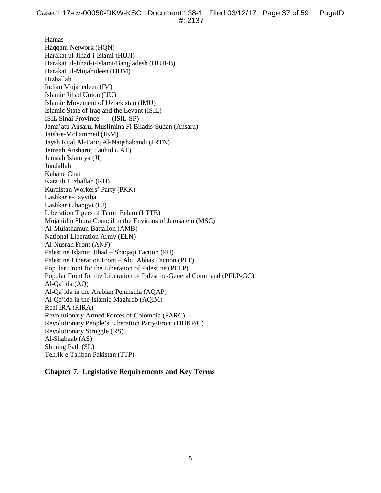Hamas Haqqani Network (HQN) Harakat ul-Jihad-i-Islami (HUJI) Harakat ul-Jihad-i-Islami/Bangladesh (HUJI-B) Harakat ul-Mujahideen (HUM) Hizballah Indian Mujahedeen (IM) Islamic Jihad Union (IJU) Islamic Movement of Uzbekistan (IMU) Islamic State of Iraq and the Levant (ISIL) ISIL Sinai Province (ISIL-SP) Jama'atu Ansarul Muslimina Fi Biladis-Sudan (Ansaru) Jaish-e-Mohammed (JEM) Jaysh Rijal Al-Tariq Al-Naqshabandi (JRTN) Jemaah Ansharut Tauhid (JAT) Jemaah Islamiya (JI) Jundallah Kahane Chai Kata'ib Hizballah (KH) Kurdistan Workers' Party (PKK) Lashkar e-Tayyiba Lashkar i Jhangvi (LJ) Liberation Tigers of Tamil Eelam (LTTE) Mujahidin Shura Council in the Environs of Jerusalem (MSC) Al-Mulathamun Battalion (AMB) National Liberation Army (ELN) Al-Nusrah Front (ANF) Palestine Islamic Jihad – Shaqaqi Faction (PIJ) Palestine Liberation Front – Abu Abbas Faction (PLF) Popular Front for the Liberation of Palestine (PFLP) Popular Front for the Liberation of Palestine-General Command (PFLP-GC) Al-Qa'ida (AQ) Al-Qa'ida in the Arabian Peninsula (AQAP) Al-Qa'ida in the Islamic Maghreb (AQIM) Real IRA (RIRA) Revolutionary Armed Forces of Colombia (FARC) Revolutionary People's Liberation Party/Front (DHKP/C) Revolutionary Struggle (RS) Al-Shabaab (AS) Shining Path (SL) Tehrik-e Taliban Pakistan (TTP)

#### **Chapter 7. Legislative Requirements and Key Terms**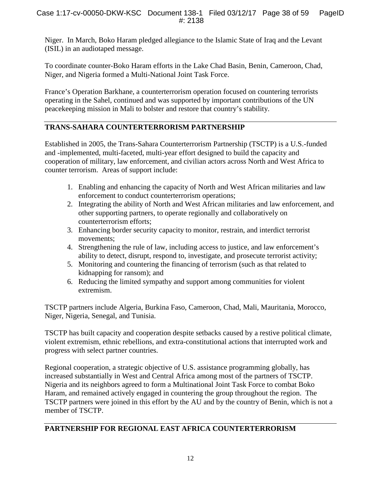Niger. In March, Boko Haram pledged allegiance to the Islamic State of Iraq and the Levant (ISIL) in an audiotaped message.

To coordinate counter-Boko Haram efforts in the Lake Chad Basin, Benin, Cameroon, Chad, Niger, and Nigeria formed a Multi-National Joint Task Force.

France's Operation Barkhane, a counterterrorism operation focused on countering terrorists operating in the Sahel, continued and was supported by important contributions of the UN peacekeeping mission in Mali to bolster and restore that country's stability.

#### **TRANS-SAHARA COUNTERTERRORISM PARTNERSHIP**

Established in 2005, the Trans-Sahara Counterterrorism Partnership (TSCTP) is a U.S.-funded and -implemented, multi-faceted, multi-year effort designed to build the capacity and cooperation of military, law enforcement, and civilian actors across North and West Africa to counter terrorism. Areas of support include:

- 1. Enabling and enhancing the capacity of North and West African militaries and law enforcement to conduct counterterrorism operations;
- 2. Integrating the ability of North and West African militaries and law enforcement, and other supporting partners, to operate regionally and collaboratively on counterterrorism efforts;
- 3. Enhancing border security capacity to monitor, restrain, and interdict terrorist movements;
- 4. Strengthening the rule of law, including access to justice, and law enforcement's ability to detect, disrupt, respond to, investigate, and prosecute terrorist activity;
- 5. Monitoring and countering the financing of terrorism (such as that related to kidnapping for ransom); and
- 6. Reducing the limited sympathy and support among communities for violent extremism.

TSCTP partners include Algeria, Burkina Faso, Cameroon, Chad, Mali, Mauritania, Morocco, Niger, Nigeria, Senegal, and Tunisia.

TSCTP has built capacity and cooperation despite setbacks caused by a restive political climate, violent extremism, ethnic rebellions, and extra-constitutional actions that interrupted work and progress with select partner countries.

Regional cooperation, a strategic objective of U.S. assistance programming globally, has increased substantially in West and Central Africa among most of the partners of TSCTP. Nigeria and its neighbors agreed to form a Multinational Joint Task Force to combat Boko Haram, and remained actively engaged in countering the group throughout the region. The TSCTP partners were joined in this effort by the AU and by the country of Benin, which is not a member of TSCTP.

#### **PARTNERSHIP FOR REGIONAL EAST AFRICA COUNTERTERRORISM**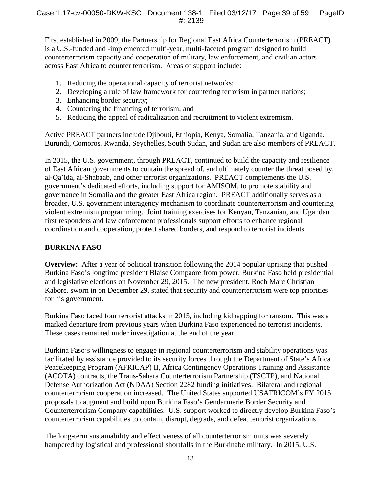First established in 2009, the Partnership for Regional East Africa Counterterrorism (PREACT) is a U.S.-funded and -implemented multi-year, multi-faceted program designed to build counterterrorism capacity and cooperation of military, law enforcement, and civilian actors across East Africa to counter terrorism. Areas of support include:

- 1. Reducing the operational capacity of terrorist networks;
- 2. Developing a rule of law framework for countering terrorism in partner nations;
- 3. Enhancing border security;
- 4. Countering the financing of terrorism; and
- 5. Reducing the appeal of radicalization and recruitment to violent extremism.

Active PREACT partners include Djibouti, Ethiopia, Kenya, Somalia, Tanzania, and Uganda. Burundi, Comoros, Rwanda, Seychelles, South Sudan, and Sudan are also members of PREACT.

In 2015, the U.S. government, through PREACT, continued to build the capacity and resilience of East African governments to contain the spread of, and ultimately counter the threat posed by, al-Qa'ida, al-Shabaab, and other terrorist organizations. PREACT complements the U.S. government's dedicated efforts, including support for AMISOM, to promote stability and governance in Somalia and the greater East Africa region. PREACT additionally serves as a broader, U.S. government interagency mechanism to coordinate counterterrorism and countering violent extremism programming. Joint training exercises for Kenyan, Tanzanian, and Ugandan first responders and law enforcement professionals support efforts to enhance regional coordination and cooperation, protect shared borders, and respond to terrorist incidents.

#### **BURKINA FASO**

**Overview:** After a year of political transition following the 2014 popular uprising that pushed Burkina Faso's longtime president Blaise Compaore from power, Burkina Faso held presidential and legislative elections on November 29, 2015. The new president, Roch Marc Christian Kabore, sworn in on December 29, stated that security and counterterrorism were top priorities for his government.

Burkina Faso faced four terrorist attacks in 2015, including kidnapping for ransom. This was a marked departure from previous years when Burkina Faso experienced no terrorist incidents. These cases remained under investigation at the end of the year.

Burkina Faso's willingness to engage in regional counterterrorism and stability operations was facilitated by assistance provided to its security forces through the Department of State's Africa Peacekeeping Program (AFRICAP) II, Africa Contingency Operations Training and Assistance (ACOTA) contracts, the Trans-Sahara Counterterrorism Partnership (TSCTP), and National Defense Authorization Act (NDAA) Section 2282 funding initiatives. Bilateral and regional counterterrorism cooperation increased. The United States supported USAFRICOM's FY 2015 proposals to augment and build upon Burkina Faso's Gendarmerie Border Security and Counterterrorism Company capabilities. U.S. support worked to directly develop Burkina Faso's counterterrorism capabilities to contain, disrupt, degrade, and defeat terrorist organizations.

The long-term sustainability and effectiveness of all counterterrorism units was severely hampered by logistical and professional shortfalls in the Burkinabe military. In 2015, U.S.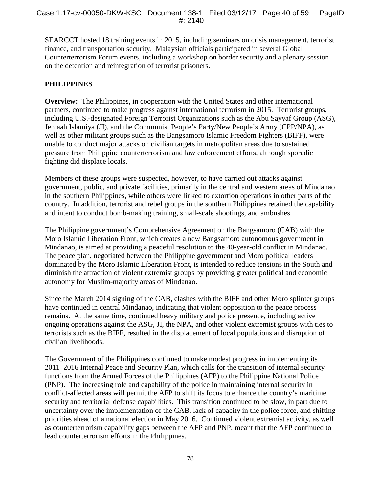SEARCCT hosted 18 training events in 2015, including seminars on crisis management, terrorist finance, and transportation security. Malaysian officials participated in several Global Counterterrorism Forum events, including a workshop on border security and a plenary session on the detention and reintegration of terrorist prisoners.

#### **PHILIPPINES**

**Overview:** The Philippines, in cooperation with the United States and other international partners, continued to make progress against international terrorism in 2015. Terrorist groups, including U.S.-designated Foreign Terrorist Organizations such as the Abu Sayyaf Group (ASG), Jemaah Islamiya (JI), and the Communist People's Party/New People's Army (CPP/NPA), as well as other militant groups such as the Bangsamoro Islamic Freedom Fighters (BIFF), were unable to conduct major attacks on civilian targets in metropolitan areas due to sustained pressure from Philippine counterterrorism and law enforcement efforts, although sporadic fighting did displace locals.

Members of these groups were suspected, however, to have carried out attacks against government, public, and private facilities, primarily in the central and western areas of Mindanao in the southern Philippines, while others were linked to extortion operations in other parts of the country. In addition, terrorist and rebel groups in the southern Philippines retained the capability and intent to conduct bomb-making training, small-scale shootings, and ambushes.

The Philippine government's Comprehensive Agreement on the Bangsamoro (CAB) with the Moro Islamic Liberation Front, which creates a new Bangsamoro autonomous government in Mindanao, is aimed at providing a peaceful resolution to the 40-year-old conflict in Mindanao. The peace plan, negotiated between the Philippine government and Moro political leaders dominated by the Moro Islamic Liberation Front, is intended to reduce tensions in the South and diminish the attraction of violent extremist groups by providing greater political and economic autonomy for Muslim-majority areas of Mindanao.

Since the March 2014 signing of the CAB, clashes with the BIFF and other Moro splinter groups have continued in central Mindanao, indicating that violent opposition to the peace process remains. At the same time, continued heavy military and police presence, including active ongoing operations against the ASG, JI, the NPA, and other violent extremist groups with ties to terrorists such as the BIFF, resulted in the displacement of local populations and disruption of civilian livelihoods.

The Government of the Philippines continued to make modest progress in implementing its 2011–2016 Internal Peace and Security Plan, which calls for the transition of internal security functions from the Armed Forces of the Philippines (AFP) to the Philippine National Police (PNP). The increasing role and capability of the police in maintaining internal security in conflict-affected areas will permit the AFP to shift its focus to enhance the country's maritime security and territorial defense capabilities. This transition continued to be slow, in part due to uncertainty over the implementation of the CAB, lack of capacity in the police force, and shifting priorities ahead of a national election in May 2016. Continued violent extremist activity, as well as counterterrorism capability gaps between the AFP and PNP, meant that the AFP continued to lead counterterrorism efforts in the Philippines.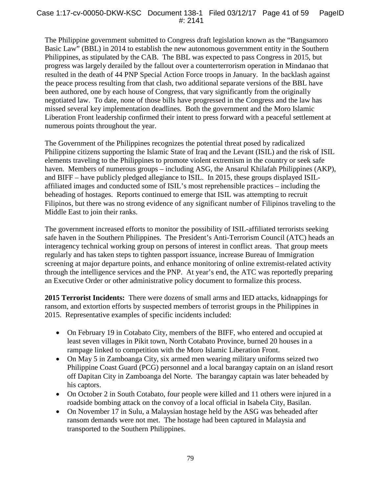The Philippine government submitted to Congress draft legislation known as the "Bangsamoro Basic Law" (BBL) in 2014 to establish the new autonomous government entity in the Southern Philippines, as stipulated by the CAB. The BBL was expected to pass Congress in 2015, but progress was largely derailed by the fallout over a counterterrorism operation in Mindanao that resulted in the death of 44 PNP Special Action Force troops in January. In the backlash against the peace process resulting from that clash, two additional separate versions of the BBL have been authored, one by each house of Congress, that vary significantly from the originally negotiated law. To date, none of those bills have progressed in the Congress and the law has missed several key implementation deadlines. Both the government and the Moro Islamic Liberation Front leadership confirmed their intent to press forward with a peaceful settlement at numerous points throughout the year.

The Government of the Philippines recognizes the potential threat posed by radicalized Philippine citizens supporting the Islamic State of Iraq and the Levant (ISIL) and the risk of ISIL elements traveling to the Philippines to promote violent extremism in the country or seek safe haven. Members of numerous groups – including ASG, the Ansarul Khilafah Philippines (AKP), and BIFF – have publicly pledged allegiance to ISIL. In 2015, these groups displayed ISILaffiliated images and conducted some of ISIL's most reprehensible practices – including the beheading of hostages. Reports continued to emerge that ISIL was attempting to recruit Filipinos, but there was no strong evidence of any significant number of Filipinos traveling to the Middle East to join their ranks.

The government increased efforts to monitor the possibility of ISIL-affiliated terrorists seeking safe haven in the Southern Philippines. The President's Anti-Terrorism Council (ATC) heads an interagency technical working group on persons of interest in conflict areas. That group meets regularly and has taken steps to tighten passport issuance, increase Bureau of Immigration screening at major departure points, and enhance monitoring of online extremist-related activity through the intelligence services and the PNP. At year's end, the ATC was reportedly preparing an Executive Order or other administrative policy document to formalize this process.

**2015 Terrorist Incidents:** There were dozens of small arms and IED attacks, kidnappings for ransom, and extortion efforts by suspected members of terrorist groups in the Philippines in 2015. Representative examples of specific incidents included:

- On February 19 in Cotabato City, members of the BIFF, who entered and occupied at least seven villages in Pikit town, North Cotabato Province, burned 20 houses in a rampage linked to competition with the Moro Islamic Liberation Front.
- On May 5 in Zamboanga City, six armed men wearing military uniforms seized two Philippine Coast Guard (PCG) personnel and a local barangay captain on an island resort off Dapitan City in Zamboanga del Norte. The barangay captain was later beheaded by his captors.
- On October 2 in South Cotabato, four people were killed and 11 others were injured in a roadside bombing attack on the convoy of a local official in Isabela City, Basilan.
- On November 17 in Sulu, a Malaysian hostage held by the ASG was beheaded after ransom demands were not met. The hostage had been captured in Malaysia and transported to the Southern Philippines.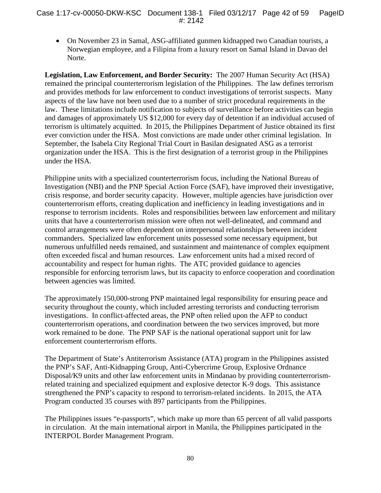• On November 23 in Samal, ASG-affiliated gunmen kidnapped two Canadian tourists, a Norwegian employee, and a Filipina from a luxury resort on Samal Island in Davao del Norte.

**Legislation, Law Enforcement, and Border Security:** The 2007 Human Security Act (HSA) remained the principal counterterrorism legislation of the Philippines. The law defines terrorism and provides methods for law enforcement to conduct investigations of terrorist suspects. Many aspects of the law have not been used due to a number of strict procedural requirements in the law. These limitations include notification to subjects of surveillance before activities can begin and damages of approximately US \$12,000 for every day of detention if an individual accused of terrorism is ultimately acquitted. In 2015, the Philippines Department of Justice obtained its first ever conviction under the HSA. Most convictions are made under other criminal legislation. In September, the Isabela City Regional Trial Court in Basilan designated ASG as a terrorist organization under the HSA. This is the first designation of a terrorist group in the Philippines under the HSA.

Philippine units with a specialized counterterrorism focus, including the National Bureau of Investigation (NBI) and the PNP Special Action Force (SAF), have improved their investigative, crisis response, and border security capacity. However, multiple agencies have jurisdiction over counterterrorism efforts, creating duplication and inefficiency in leading investigations and in response to terrorism incidents. Roles and responsibilities between law enforcement and military units that have a counterterrorism mission were often not well-delineated, and command and control arrangements were often dependent on interpersonal relationships between incident commanders. Specialized law enforcement units possessed some necessary equipment, but numerous unfulfilled needs remained, and sustainment and maintenance of complex equipment often exceeded fiscal and human resources. Law enforcement units had a mixed record of accountability and respect for human rights. The ATC provided guidance to agencies responsible for enforcing terrorism laws, but its capacity to enforce cooperation and coordination between agencies was limited.

The approximately 150,000-strong PNP maintained legal responsibility for ensuring peace and security throughout the county, which included arresting terrorists and conducting terrorism investigations. In conflict-affected areas, the PNP often relied upon the AFP to conduct counterterrorism operations, and coordination between the two services improved, but more work remained to be done. The PNP SAF is the national operational support unit for law enforcement counterterrorism efforts.

The Department of State's Antiterrorism Assistance (ATA) program in the Philippines assisted the PNP's SAF, Anti-Kidnapping Group, Anti-Cybercrime Group, Explosive Ordnance Disposal/K9 units and other law enforcement units in Mindanao by providing counterterrorismrelated training and specialized equipment and explosive detector K-9 dogs. This assistance strengthened the PNP's capacity to respond to terrorism-related incidents. In 2015, the ATA Program conducted 35 courses with 897 participants from the Philippines.

The Philippines issues "e-passports", which make up more than 65 percent of all valid passports in circulation. At the main international airport in Manila, the Philippines participated in the INTERPOL Border Management Program.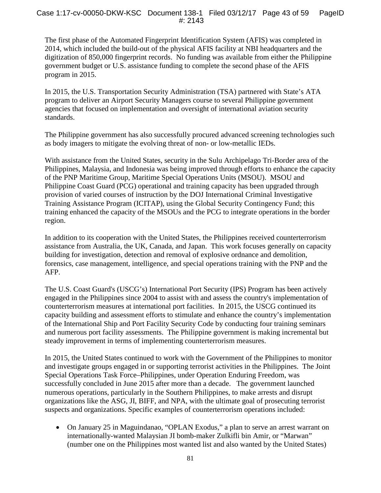The first phase of the Automated Fingerprint Identification System (AFIS) was completed in 2014, which included the build-out of the physical AFIS facility at NBI headquarters and the digitization of 850,000 fingerprint records. No funding was available from either the Philippine government budget or U.S. assistance funding to complete the second phase of the AFIS program in 2015.

In 2015, the U.S. Transportation Security Administration (TSA) partnered with State's ATA program to deliver an Airport Security Managers course to several Philippine government agencies that focused on implementation and oversight of international aviation security standards.

The Philippine government has also successfully procured advanced screening technologies such as body imagers to mitigate the evolving threat of non- or low-metallic IEDs.

With assistance from the United States, security in the Sulu Archipelago Tri-Border area of the Philippines, Malaysia, and Indonesia was being improved through efforts to enhance the capacity of the PNP Maritime Group, Maritime Special Operations Units (MSOU). MSOU and Philippine Coast Guard (PCG) operational and training capacity has been upgraded through provision of varied courses of instruction by the DOJ International Criminal Investigative Training Assistance Program (ICITAP), using the Global Security Contingency Fund; this training enhanced the capacity of the MSOUs and the PCG to integrate operations in the border region.

In addition to its cooperation with the United States, the Philippines received counterterrorism assistance from Australia, the UK, Canada, and Japan. This work focuses generally on capacity building for investigation, detection and removal of explosive ordnance and demolition, forensics, case management, intelligence, and special operations training with the PNP and the AFP.

The U.S. Coast Guard's (USCG's) International Port Security (IPS) Program has been actively engaged in the Philippines since 2004 to assist with and assess the country's implementation of counterterrorism measures at international port facilities. In 2015, the USCG continued its capacity building and assessment efforts to stimulate and enhance the country's implementation of the International Ship and Port Facility Security Code by conducting four training seminars and numerous port facility assessments. The Philippine government is making incremental but steady improvement in terms of implementing counterterrorism measures.

In 2015, the United States continued to work with the Government of the Philippines to monitor and investigate groups engaged in or supporting terrorist activities in the Philippines. The Joint Special Operations Task Force–Philippines, under Operation Enduring Freedom, was successfully concluded in June 2015 after more than a decade. The government launched numerous operations, particularly in the Southern Philippines, to make arrests and disrupt organizations like the ASG, JI, BIFF, and NPA, with the ultimate goal of prosecuting terrorist suspects and organizations. Specific examples of counterterrorism operations included:

• On January 25 in Maguindanao, "OPLAN Exodus," a plan to serve an arrest warrant on internationally-wanted Malaysian JI bomb-maker Zulkifli bin Amir, or "Marwan" (number one on the Philippines most wanted list and also wanted by the United States)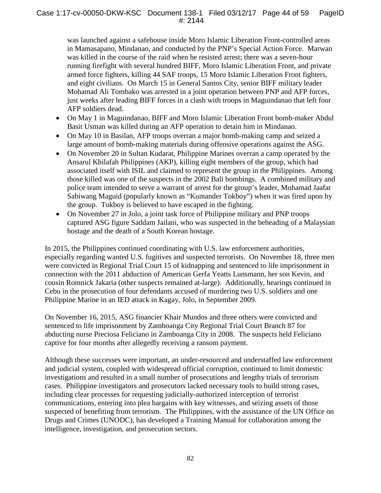#### Case 1:17-cv-00050-DKW-KSC Document 138-1 Filed 03/12/17 Page 44 of 59 PageID #: 2144

was launched against a safehouse inside Moro Islamic Liberation Front-controlled areas in Mamasapano, Mindanao, and conducted by the PNP's Special Action Force. Marwan was killed in the course of the raid when he resisted arrest; there was a seven-hour running firefight with several hundred BIFF, Moro Islamic Liberation Front, and private armed force fighters, killing 44 SAF troops, 15 Moro Islamic Liberation Front fighters, and eight civilians. On March 15 in General Santos City, senior BIFF military leader Mohamad Ali Tombako was arrested in a joint operation between PNP and AFP forces, just weeks after leading BIFF forces in a clash with troops in Maguindanao that left four AFP soldiers dead.

- On May 1 in Maguindanao, BIFF and Moro Islamic Liberation Front bomb-maker Abdul Basit Usman was killed during an AFP operation to detain him in Mindanao.
- On May 10 in Basilan, AFP troops overran a major bomb-making camp and seized a large amount of bomb-making materials during offensive operations against the ASG.
- On November 20 in Sultan Kudarat, Philippine Marines overran a camp operated by the Ansarul Khilafah Philippines (AKP), killing eight members of the group, which had associated itself with ISIL and claimed to represent the group in the Philippines. Among those killed was one of the suspects in the 2002 Bali bombings. A combined military and police team intended to serve a warrant of arrest for the group's leader, Mohamad Jaafar Sabiwang Maguid (popularly known as "Kumander Tokboy") when it was fired upon by the group. Tokboy is believed to have escaped in the fighting.
- On November 27 in Jolo, a joint task force of Philippine military and PNP troops captured ASG figure Saddam Jailani, who was suspected in the beheading of a Malaysian hostage and the death of a South Korean hostage.

In 2015, the Philippines continued coordinating with U.S. law enforcement authorities, especially regarding wanted U.S. fugitives and suspected terrorists. On November 18, three men were convicted in Regional Trial Court 15 of kidnapping and sentenced to life imprisonment in connection with the 2011 abduction of American Gerfa Yeatts Lunsmann, her son Kevin, and cousin Romnick Jakaria (other suspects remained at-large). Additionally, hearings continued in Cebu in the prosecution of four defendants accused of murdering two U.S. soldiers and one Philippine Marine in an IED attack in Kagay, Jolo, in September 2009.

On November 16, 2015, ASG financier Khair Mundos and three others were convicted and sentenced to life imprisonment by Zamboanga City Regional Trial Court Branch 87 for abducting nurse Preciosa Feliciano in Zamboanga City in 2008. The suspects held Feliciano captive for four months after allegedly receiving a ransom payment.

Although these successes were important, an under-resourced and understaffed law enforcement and judicial system, coupled with widespread official corruption, continued to limit domestic investigations and resulted in a small number of prosecutions and lengthy trials of terrorism cases. Philippine investigators and prosecutors lacked necessary tools to build strong cases, including clear processes for requesting judicially-authorized interception of terrorist communications, entering into plea bargains with key witnesses, and seizing assets of those suspected of benefiting from terrorism. The Philippines, with the assistance of the UN Office on Drugs and Crimes (UNODC), has developed a Training Manual for collaboration among the intelligence, investigation, and prosecution sectors.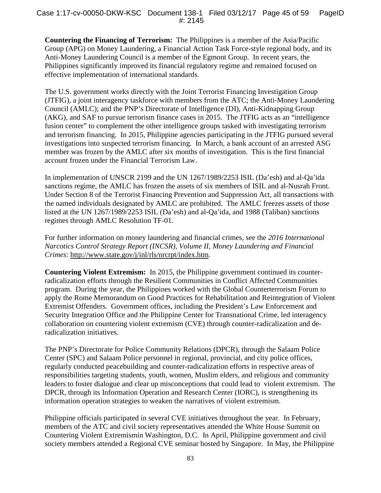**Countering the Financing of Terrorism:** The Philippines is a member of the Asia/Pacific Group (APG) on Money Laundering, a Financial Action Task Force-style regional body, and its Anti-Money Laundering Council is a member of the Egmont Group. In recent years, the Philippines significantly improved its financial regulatory regime and remained focused on effective implementation of international standards.

The U.S. government works directly with the Joint Terrorist Financing Investigation Group (JTFIG), a joint interagency taskforce with members from the ATC; the Anti-Money Laundering Council (AMLC); and the PNP's Directorate of Intelligence (DI), Anti-Kidnapping Group (AKG), and SAF to pursue terrorism finance cases in 2015. The JTFIG acts as an "intelligence fusion center" to complement the other intelligence groups tasked with investigating terrorism and terrorism financing. In 2015, Philippine agencies participating in the JTFIG pursued several investigations into suspected terrorism financing. In March, a bank account of an arrested ASG member was frozen by the AMLC after six months of investigation. This is the first financial account frozen under the Financial Terrorism Law.

In implementation of UNSCR 2199 and the UN 1267/1989/2253 ISIL (Da'esh) and al-Qa'ida sanctions regime, the AMLC has frozen the assets of six members of ISIL and al-Nusrah Front. Under Section 8 of the Terrorist Financing Prevention and Suppression Act, all transactions with the named individuals designated by AMLC are prohibited. The AMLC freezes assets of those listed at the UN 1267/1989/2253 ISIL (Da'esh) and al-Qa'ida, and 1988 (Taliban) sanctions regimes through AMLC Resolution TF-01.

For further information on money laundering and financial crimes, see the *2016 International Narcotics Control Strategy Report (INCSR), Volume II, Money Laundering and Financial Crimes*: [http://www.state.gov/j/inl/rls/nrcrpt/index.htm.](http://www.state.gov/j/inl/rls/nrcrpt/index.htm)

**Countering Violent Extremism:** In 2015, the Philippine government continued its counterradicalization efforts through the Resilient Communities in Conflict Affected Communities program. During the year, the Philippines worked with the Global Counterterrorism Forum to apply the Rome Memorandum on Good Practices for Rehabilitation and Reintegration of Violent Extremist Offenders. Government offices, including the President's Law Enforcement and Security Integration Office and the Philippine Center for Transnational Crime, led interagency collaboration on countering violent extremism (CVE) through counter-radicalization and deradicalization initiatives.

The PNP's Directorate for Police Community Relations (DPCR), through the Salaam Police Center (SPC) and Salaam Police personnel in regional, provincial, and city police offices, regularly conducted peacebuilding and counter-radicalization efforts in respective areas of responsibilities targeting students, youth, women, Muslim elders, and religious and community leaders to foster dialogue and clear up misconceptions that could lead to violent extremism. The DPCR, through its Information Operation and Research Center (IORC), is strengthening its information operation strategies to weaken the narratives of violent extremism.

Philippine officials participated in several CVE initiatives throughout the year. In February, members of the ATC and civil society representatives attended the White House Summit on Countering Violent Extremismin Washington, D.C. In April, Philippine government and civil society members attended a Regional CVE seminar hosted by Singapore. In May, the Philippine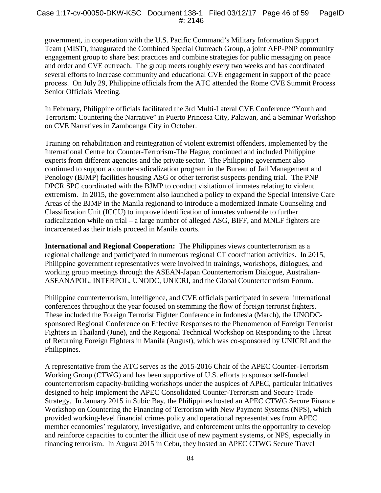government, in cooperation with the U.S. Pacific Command's Military Information Support Team (MIST), inaugurated the Combined Special Outreach Group, a joint AFP-PNP community engagement group to share best practices and combine strategies for public messaging on peace and order and CVE outreach. The group meets roughly every two weeks and has coordinated several efforts to increase community and educational CVE engagement in support of the peace process. On July 29, Philippine officials from the ATC attended the Rome CVE Summit Process Senior Officials Meeting.

In February, Philippine officials facilitated the 3rd Multi-Lateral CVE Conference "Youth and Terrorism: Countering the Narrative" in Puerto Princesa City, Palawan, and a Seminar Workshop on CVE Narratives in Zamboanga City in October.

Training on rehabilitation and reintegration of violent extremist offenders, implemented by the International Centre for Counter-Terrorism-The Hague, continued and included Philippine experts from different agencies and the private sector. The Philippine government also continued to support a counter-radicalization program in the Bureau of Jail Management and Penology (BJMP) facilities housing ASG or other terrorist suspects pending trial. The PNP DPCR SPC coordinated with the BJMP to conduct visitation of inmates relating to violent extremism. In 2015, the government also launched a policy to expand the Special Intensive Care Areas of the BJMP in the Manila regionand to introduce a modernized Inmate Counseling and Classification Unit (ICCU) to improve identification of inmates vulnerable to further radicalization while on trial – a large number of alleged ASG, BIFF, and MNLF fighters are incarcerated as their trials proceed in Manila courts.

**International and Regional Cooperation:** The Philippines views counterterrorism as a regional challenge and participated in numerous regional CT coordination activities. In 2015, Philippine government representatives were involved in trainings, workshops, dialogues, and working group meetings through the ASEAN-Japan Counterterrorism Dialogue, Australian-ASEANAPOL, INTERPOL, UNODC, UNICRI, and the Global Counterterrorism Forum.

Philippine counterterrorism, intelligence, and CVE officials participated in several international conferences throughout the year focused on stemming the flow of foreign terrorist fighters. These included the Foreign Terrorist Fighter Conference in Indonesia (March), the UNODCsponsored Regional Conference on Effective Responses to the Phenomenon of Foreign Terrorist Fighters in Thailand (June), and the Regional Technical Workshop on Responding to the Threat of Returning Foreign Fighters in Manila (August), which was co-sponsored by UNICRI and the Philippines.

A representative from the ATC serves as the 2015-2016 Chair of the APEC Counter-Terrorism Working Group (CTWG) and has been supportive of U.S. efforts to sponsor self-funded counterterrorism capacity-building workshops under the auspices of APEC, particular initiatives designed to help implement the APEC Consolidated Counter-Terrorism and Secure Trade Strategy. In January 2015 in Subic Bay, the Philippines hosted an APEC CTWG Secure Finance Workshop on Countering the Financing of Terrorism with New Payment Systems (NPS), which provided working-level financial crimes policy and operational representatives from APEC member economies' regulatory, investigative, and enforcement units the opportunity to develop and reinforce capacities to counter the illicit use of new payment systems, or NPS, especially in financing terrorism. In August 2015 in Cebu, they hosted an APEC CTWG Secure Travel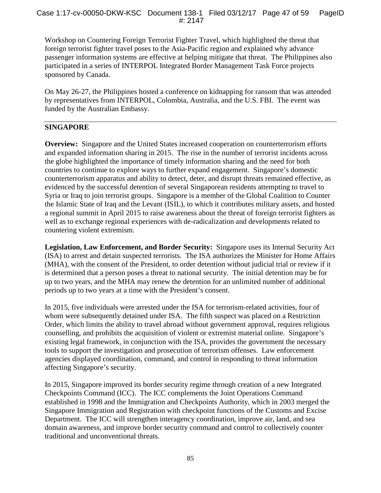Workshop on Countering Foreign Terrorist Fighter Travel, which highlighted the threat that foreign terrorist fighter travel poses to the Asia-Pacific region and explained why advance passenger information systems are effective at helping mitigate that threat. The Philippines also participated in a series of INTERPOL Integrated Border Management Task Force projects sponsored by Canada.

On May 26-27, the Philippines hosted a conference on kidnapping for ransom that was attended by representatives from INTERPOL, Colombia, Australia, and the U.S. FBI. The event was funded by the Australian Embassy.

#### **SINGAPORE**

**Overview:** Singapore and the United States increased cooperation on counterterrorism efforts and expanded information sharing in 2015. The rise in the number of terrorist incidents across the globe highlighted the importance of timely information sharing and the need for both countries to continue to explore ways to further expand engagement. Singapore's domestic counterterrorism apparatus and ability to detect, deter, and disrupt threats remained effective, as evidenced by the successful detention of several Singaporean residents attempting to travel to Syria or Iraq to join terrorist groups. Singapore is a member of the Global Coalition to Counter the Islamic State of Iraq and the Levant (ISIL), to which it contributes military assets, and hosted a regional summit in April 2015 to raise awareness about the threat of foreign terrorist fighters as well as to exchange regional experiences with de-radicalization and developments related to countering violent extremism.

**Legislation, Law Enforcement, and Border Security:** Singapore uses its Internal Security Act (ISA) to arrest and detain suspected terrorists. The ISA authorizes the Minister for Home Affairs (MHA), with the consent of the President, to order detention without judicial trial or review if it is determined that a person poses a threat to national security. The initial detention may be for up to two years, and the MHA may renew the detention for an unlimited number of additional periods up to two years at a time with the President's consent.

In 2015, five individuals were arrested under the ISA for terrorism-related activities, four of whom were subsequently detained under ISA. The fifth suspect was placed on a Restriction Order, which limits the ability to travel abroad without government approval, requires religious counselling, and prohibits the acquisition of violent or extremist material online. Singapore's existing legal framework, in conjunction with the ISA, provides the government the necessary tools to support the investigation and prosecution of terrorism offenses. Law enforcement agencies displayed coordination, command, and control in responding to threat information affecting Singapore's security.

In 2015, Singapore improved its border security regime through creation of a new Integrated Checkpoints Command (ICC). The ICC complements the Joint Operations Command established in 1998 and the Immigration and Checkpoints Authority, which in 2003 merged the Singapore Immigration and Registration with checkpoint functions of the Customs and Excise Department. The ICC will strengthen interagency coordination, improve air, land, and sea domain awareness, and improve border security command and control to collectively counter traditional and unconventional threats.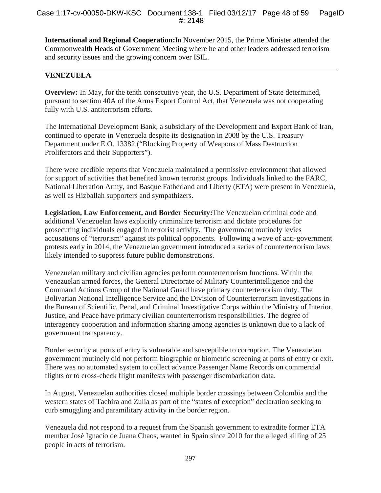**International and Regional Cooperation:**In November 2015, the Prime Minister attended the Commonwealth Heads of Government Meeting where he and other leaders addressed terrorism and security issues and the growing concern over ISIL.

#### **VENEZUELA**

**Overview:** In May, for the tenth consecutive year, the U.S. Department of State determined, pursuant to section 40A of the Arms Export Control Act, that Venezuela was not cooperating fully with U.S. antiterrorism efforts.

The International Development Bank, a subsidiary of the Development and Export Bank of Iran, continued to operate in Venezuela despite its designation in 2008 by the U.S. Treasury Department under E.O. 13382 ("Blocking Property of Weapons of Mass Destruction Proliferators and their Supporters").

There were credible reports that Venezuela maintained a permissive environment that allowed for support of activities that benefited known terrorist groups. Individuals linked to the FARC, National Liberation Army, and Basque Fatherland and Liberty (ETA) were present in Venezuela, as well as Hizballah supporters and sympathizers.

**Legislation, Law Enforcement, and Border Security:**The Venezuelan criminal code and additional Venezuelan laws explicitly criminalize terrorism and dictate procedures for prosecuting individuals engaged in terrorist activity. The government routinely levies accusations of "terrorism" against its political opponents. Following a wave of anti-government protests early in 2014, the Venezuelan government introduced a series of counterterrorism laws likely intended to suppress future public demonstrations.

Venezuelan military and civilian agencies perform counterterrorism functions. Within the Venezuelan armed forces, the General Directorate of Military Counterintelligence and the Command Actions Group of the National Guard have primary counterterrorism duty. The Bolivarian National Intelligence Service and the Division of Counterterrorism Investigations in the Bureau of Scientific, Penal, and Criminal Investigative Corps within the Ministry of Interior, Justice, and Peace have primary civilian counterterrorism responsibilities. The degree of interagency cooperation and information sharing among agencies is unknown due to a lack of government transparency.

Border security at ports of entry is vulnerable and susceptible to corruption. The Venezuelan government routinely did not perform biographic or biometric screening at ports of entry or exit. There was no automated system to collect advance Passenger Name Records on commercial flights or to cross-check flight manifests with passenger disembarkation data.

In August, Venezuelan authorities closed multiple border crossings between Colombia and the western states of Tachira and Zulia as part of the "states of exception" declaration seeking to curb smuggling and paramilitary activity in the border region.

Venezuela did not respond to a request from the Spanish government to extradite former ETA member José Ignacio de Juana Chaos, wanted in Spain since 2010 for the alleged killing of 25 people in acts of terrorism.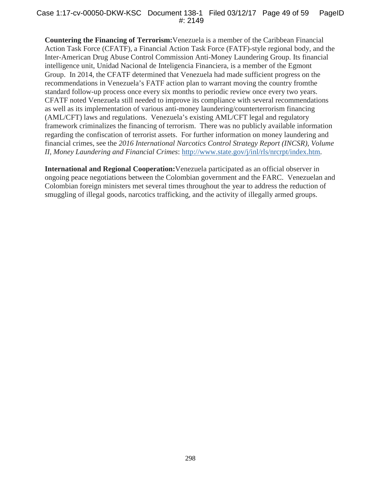**Countering the Financing of Terrorism:**Venezuela is a member of the Caribbean Financial Action Task Force (CFATF), a Financial Action Task Force (FATF)-style regional body, and the Inter-American Drug Abuse Control Commission Anti-Money Laundering Group. Its financial intelligence unit, Unidad Nacional de Inteligencia Financiera, is a member of the Egmont Group. In 2014, the CFATF determined that Venezuela had made sufficient progress on the recommendations in Venezuela's FATF action plan to warrant moving the country fromthe standard follow-up process once every six months to periodic review once every two years. CFATF noted Venezuela still needed to improve its compliance with several recommendations as well as its implementation of various anti-money laundering/counterterrorism financing (AML/CFT) laws and regulations. Venezuela's existing AML/CFT legal and regulatory framework criminalizes the financing of terrorism. There was no publicly available information regarding the confiscation of terrorist assets. For further information on money laundering and financial crimes, see the *2016 International Narcotics Control Strategy Report (INCSR), Volume II, Money Laundering and Financial Crimes*: [http://www.state.gov/j/inl/rls/nrcrpt/index.htm.](http://www.state.gov/j/inl/rls/nrcrpt/index.htm)

**International and Regional Cooperation:**Venezuela participated as an official observer in ongoing peace negotiations between the Colombian government and the FARC. Venezuelan and Colombian foreign ministers met several times throughout the year to address the reduction of smuggling of illegal goods, narcotics trafficking, and the activity of illegally armed groups.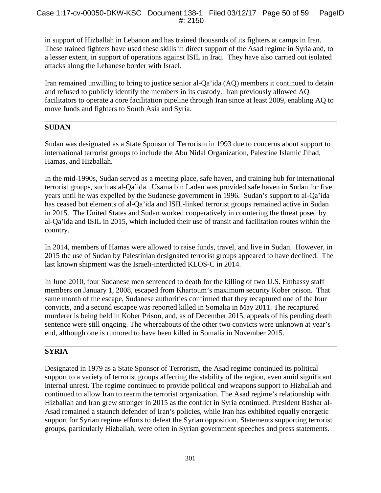in support of Hizballah in Lebanon and has trained thousands of its fighters at camps in Iran. These trained fighters have used these skills in direct support of the Asad regime in Syria and, to a lesser extent, in support of operations against ISIL in Iraq. They have also carried out isolated attacks along the Lebanese border with Israel.

Iran remained unwilling to bring to justice senior al-Qa'ida (AQ) members it continued to detain and refused to publicly identify the members in its custody. Iran previously allowed AQ facilitators to operate a core facilitation pipeline through Iran since at least 2009, enabling AQ to move funds and fighters to South Asia and Syria.

#### **SUDAN**

Sudan was designated as a State Sponsor of Terrorism in 1993 due to concerns about support to international terrorist groups to include the Abu Nidal Organization, Palestine Islamic Jihad, Hamas, and Hizballah.

In the mid-1990s, Sudan served as a meeting place, safe haven, and training hub for international terrorist groups, such as al-Qa'ida. Usama bin Laden was provided safe haven in Sudan for five years until he was expelled by the Sudanese government in 1996. Sudan's support to al-Qa'ida has ceased but elements of al-Qa'ida and ISIL-linked terrorist groups remained active in Sudan in 2015. The United States and Sudan worked cooperatively in countering the threat posed by al-Qa'ida and ISIL in 2015, which included their use of transit and facilitation routes within the country.

In 2014, members of Hamas were allowed to raise funds, travel, and live in Sudan. However, in 2015 the use of Sudan by Palestinian designated terrorist groups appeared to have declined. The last known shipment was the Israeli-interdicted KLOS-C in 2014.

In June 2010, four Sudanese men sentenced to death for the killing of two U.S. Embassy staff members on January 1, 2008, escaped from Khartoum's maximum security Kober prison. That same month of the escape, Sudanese authorities confirmed that they recaptured one of the four convicts, and a second escapee was reported killed in Somalia in May 2011. The recaptured murderer is being held in Kober Prison, and, as of December 2015, appeals of his pending death sentence were still ongoing. The whereabouts of the other two convicts were unknown at year's end, although one is rumored to have been killed in Somalia in November 2015.

## **SYRIA**

Designated in 1979 as a State Sponsor of Terrorism, the Asad regime continued its political support to a variety of terrorist groups affecting the stability of the region, even amid significant internal unrest. The regime continued to provide political and weapons support to Hizballah and continued to allow Iran to rearm the terrorist organization. The Asad regime's relationship with Hizballah and Iran grew stronger in 2015 as the conflict in Syria continued. President Bashar al-Asad remained a staunch defender of Iran's policies, while Iran has exhibited equally energetic support for Syrian regime efforts to defeat the Syrian opposition. Statements supporting terrorist groups, particularly Hizballah, were often in Syrian government speeches and press statements.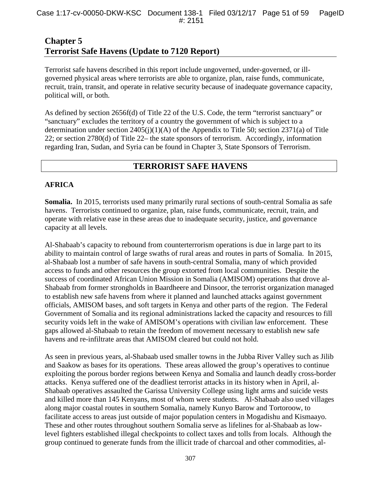## **Chapter 5 Terrorist Safe Havens (Update to 7120 Report)**

Terrorist safe havens described in this report include ungoverned, under-governed, or illgoverned physical areas where terrorists are able to organize, plan, raise funds, communicate, recruit, train, transit, and operate in relative security because of inadequate governance capacity, political will, or both.

As defined by section 2656f(d) of Title 22 of the U.S. Code, the term "terrorist sanctuary" or "sanctuary" excludes the territory of a country the government of which is subject to a determination under section  $2405(j)(1)(A)$  of the Appendix to Title 50; section 2371(a) of Title 22; or section 2780(d) of Title 22– the state sponsors of terrorism. Accordingly, information regarding Iran, Sudan, and Syria can be found in Chapter 3, State Sponsors of Terrorism.

#### **TERRORIST SAFE HAVENS**

#### **AFRICA**

**Somalia.** In 2015, terrorists used many primarily rural sections of south-central Somalia as safe havens. Terrorists continued to organize, plan, raise funds, communicate, recruit, train, and operate with relative ease in these areas due to inadequate security, justice, and governance capacity at all levels.

Al-Shabaab's capacity to rebound from counterterrorism operations is due in large part to its ability to maintain control of large swaths of rural areas and routes in parts of Somalia. In 2015, al-Shabaab lost a number of safe havens in south-central Somalia, many of which provided access to funds and other resources the group extorted from local communities. Despite the success of coordinated African Union Mission in Somalia (AMISOM) operations that drove al-Shabaab from former strongholds in Baardheere and Dinsoor, the terrorist organization managed to establish new safe havens from where it planned and launched attacks against government officials, AMISOM bases, and soft targets in Kenya and other parts of the region. The Federal Government of Somalia and its regional administrations lacked the capacity and resources to fill security voids left in the wake of AMISOM's operations with civilian law enforcement. These gaps allowed al-Shabaab to retain the freedom of movement necessary to establish new safe havens and re-infiltrate areas that AMISOM cleared but could not hold.

As seen in previous years, al-Shabaab used smaller towns in the Jubba River Valley such as Jilib and Saakow as bases for its operations. These areas allowed the group's operatives to continue exploiting the porous border regions between Kenya and Somalia and launch deadly cross-border attacks. Kenya suffered one of the deadliest terrorist attacks in its history when in April, al-Shabaab operatives assaulted the Garissa University College using light arms and suicide vests and killed more than 145 Kenyans, most of whom were students. Al-Shabaab also used villages along major coastal routes in southern Somalia, namely Kunyo Barow and Tortoroow, to facilitate access to areas just outside of major population centers in Mogadishu and Kismaayo. These and other routes throughout southern Somalia serve as lifelines for al-Shabaab as lowlevel fighters established illegal checkpoints to collect taxes and tolls from locals. Although the group continued to generate funds from the illicit trade of charcoal and other commodities, al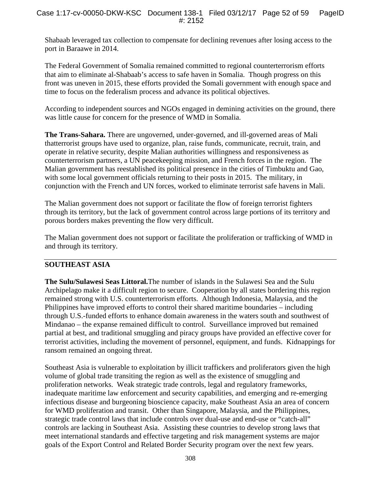Shabaab leveraged tax collection to compensate for declining revenues after losing access to the port in Baraawe in 2014.

The Federal Government of Somalia remained committed to regional counterterrorism efforts that aim to eliminate al-Shabaab's access to safe haven in Somalia. Though progress on this front was uneven in 2015, these efforts provided the Somali government with enough space and time to focus on the federalism process and advance its political objectives.

According to independent sources and NGOs engaged in demining activities on the ground, there was little cause for concern for the presence of WMD in Somalia.

**The Trans-Sahara.** There are ungoverned, under-governed, and ill-governed areas of Mali thatterrorist groups have used to organize, plan, raise funds, communicate, recruit, train, and operate in relative security, despite Malian authorities willingness and responsiveness as counterterrorism partners, a UN peacekeeping mission, and French forces in the region. The Malian government has reestablished its political presence in the cities of Timbuktu and Gao, with some local government officials returning to their posts in 2015. The military, in conjunction with the French and UN forces, worked to eliminate terrorist safe havens in Mali.

The Malian government does not support or facilitate the flow of foreign terrorist fighters through its territory, but the lack of government control across large portions of its territory and porous borders makes preventing the flow very difficult.

The Malian government does not support or facilitate the proliferation or trafficking of WMD in and through its territory.

#### **SOUTHEAST ASIA**

**The Sulu/Sulawesi Seas Littoral.**The number of islands in the Sulawesi Sea and the Sulu Archipelago make it a difficult region to secure. Cooperation by all states bordering this region remained strong with U.S. counterterrorism efforts. Although Indonesia, Malaysia, and the Philippines have improved efforts to control their shared maritime boundaries – including through U.S.-funded efforts to enhance domain awareness in the waters south and southwest of Mindanao – the expanse remained difficult to control. Surveillance improved but remained partial at best, and traditional smuggling and piracy groups have provided an effective cover for terrorist activities, including the movement of personnel, equipment, and funds. Kidnappings for ransom remained an ongoing threat.

Southeast Asia is vulnerable to exploitation by illicit traffickers and proliferators given the high volume of global trade transiting the region as well as the existence of smuggling and proliferation networks. Weak strategic trade controls, legal and regulatory frameworks, inadequate maritime law enforcement and security capabilities, and emerging and re-emerging infectious disease and burgeoning bioscience capacity, make Southeast Asia an area of concern for WMD proliferation and transit. Other than Singapore, Malaysia, and the Philippines, strategic trade control laws that include controls over dual-use and end-use or "catch-all" controls are lacking in Southeast Asia. Assisting these countries to develop strong laws that meet international standards and effective targeting and risk management systems are major goals of the Export Control and Related Border Security program over the next few years.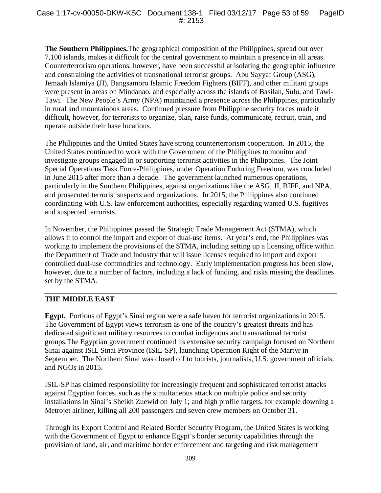**The Southern Philippines.**The geographical composition of the Philippines, spread out over 7,100 islands, makes it difficult for the central government to maintain a presence in all areas. Counterterrorism operations, however, have been successful at isolating the geographic influence and constraining the activities of transnational terrorist groups. Abu Sayyaf Group (ASG), Jemaah Islamiya (JI), Bangsamoro Islamic Freedom Fighters (BIFF), and other militant groups were present in areas on Mindanao, and especially across the islands of Basilan, Sulu, and Tawi-Tawi. The New People's Army (NPA) maintained a presence across the Philippines, particularly in rural and mountainous areas. Continued pressure from Philippine security forces made it difficult, however, for terrorists to organize, plan, raise funds, communicate, recruit, train, and operate outside their base locations.

The Philippines and the United States have strong counterterrorism cooperation. In 2015, the United States continued to work with the Government of the Philippines to monitor and investigate groups engaged in or supporting terrorist activities in the Philippines. The Joint Special Operations Task Force-Philippines, under Operation Enduring Freedom, was concluded in June 2015 after more than a decade. The government launched numerous operations, particularly in the Southern Philippines, against organizations like the ASG, JI, BIFF, and NPA, and prosecuted terrorist suspects and organizations. In 2015, the Philippines also continued coordinating with U.S. law enforcement authorities, especially regarding wanted U.S. fugitives and suspected terrorists.

In November, the Philippines passed the Strategic Trade Management Act (STMA), which allows it to control the import and export of dual-use items. At year's end, the Philippines was working to implement the provisions of the STMA, including setting up a licensing office within the Department of Trade and Industry that will issue licenses required to import and export controlled dual-use commodities and technology. Early implementation progress has been slow, however, due to a number of factors, including a lack of funding, and risks missing the deadlines set by the STMA.

#### **THE MIDDLE EAST**

**Egypt.** Portions of Egypt's Sinai region were a safe haven for terrorist organizations in 2015. The Government of Egypt views terrorism as one of the country's greatest threats and has dedicated significant military resources to combat indigenous and transnational terrorist groups.The Egyptian government continued its extensive security campaign focused on Northern Sinai against ISIL Sinai Province (ISIL-SP), launching Operation Right of the Martyr in September. The Northern Sinai was closed off to tourists, journalists, U.S. government officials, and NGOs in 2015.

ISIL-SP has claimed responsibility for increasingly frequent and sophisticated terrorist attacks against Egyptian forces, such as the simultaneous attack on multiple police and security installations in Sinai's Sheikh Zuewid on July 1; and high profile targets, for example downing a Metrojet airliner, killing all 200 passengers and seven crew members on October 31.

Through its Export Control and Related Border Security Program, the United States is working with the Government of Egypt to enhance Egypt's border security capabilities through the provision of land, air, and maritime border enforcement and targeting and risk management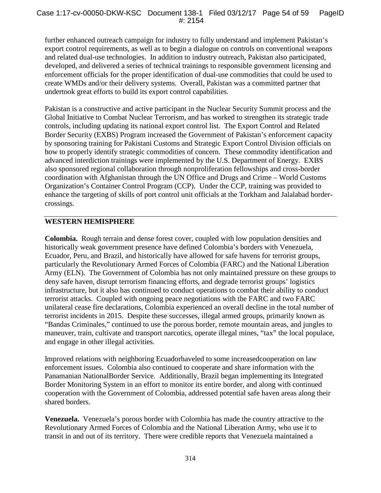further enhanced outreach campaign for industry to fully understand and implement Pakistan's export control requirements, as well as to begin a dialogue on controls on conventional weapons and related dual-use technologies. In addition to industry outreach, Pakistan also participated, developed, and delivered a series of technical trainings to responsible government licensing and enforcement officials for the proper identification of dual-use commodities that could be used to create WMDs and/or their delivery systems. Overall, Pakistan was a committed partner that undertook great efforts to build its export control capabilities.

Pakistan is a constructive and active participant in the Nuclear Security Summit process and the Global Initiative to Combat Nuclear Terrorism, and has worked to strengthen its strategic trade controls, including updating its national export control list. The Export Control and Related Border Security (EXBS) Program increased the Government of Pakistan's enforcement capacity by sponsoring training for Pakistani Customs and Strategic Export Control Division officials on how to properly identify strategic commodities of concern. These commodity identification and advanced interdiction trainings were implemented by the U.S. Department of Energy. EXBS also sponsored regional collaboration through nonproliferation fellowships and cross-border coordination with Afghanistan through the UN Office and Drugs and Crime – World Customs Organization's Container Control Program (CCP). Under the CCP, training was provided to enhance the targeting of skills of port control unit officials at the Torkham and Jalalabad bordercrossings.

#### **WESTERN HEMISPHERE**

**Colombia.** Rough terrain and dense forest cover, coupled with low population densities and historically weak government presence have defined Colombia's borders with Venezuela, Ecuador, Peru, and Brazil, and historically have allowed for safe havens for terrorist groups, particularly the Revolutionary Armed Forces of Colombia (FARC) and the National Liberation Army (ELN). The Government of Colombia has not only maintained pressure on these groups to deny safe haven, disrupt terrorism financing efforts, and degrade terrorist groups' logistics infrastructure, but it also has continued to conduct operations to combat their ability to conduct terrorist attacks. Coupled with ongoing peace negotiations with the FARC and two FARC unilateral cease fire declarations, Colombia experienced an overall decline in the total number of terrorist incidents in 2015. Despite these successes, illegal armed groups, primarily known as "Bandas Criminales," continued to use the porous border, remote mountain areas, and jungles to maneuver, train, cultivate and transport narcotics, operate illegal mines, "tax" the local populace, and engage in other illegal activities.

Improved relations with neighboring Ecuadorhaveled to some increasedcooperation on law enforcement issues. Colombia also continued to cooperate and share information with the Panamanian NationalBorder Service. Additionally, Brazil began implementing its Integrated Border Monitoring System in an effort to monitor its entire border, and along with continued cooperation with the Government of Colombia, addressed potential safe haven areas along their shared borders.

**Venezuela.** Venezuela's porous border with Colombia has made the country attractive to the Revolutionary Armed Forces of Colombia and the National Liberation Army, who use it to transit in and out of its territory. There were credible reports that Venezuela maintained a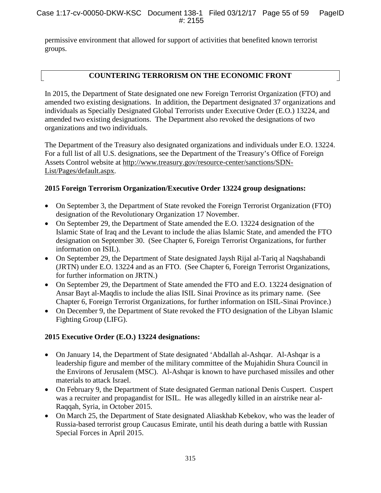permissive environment that allowed for support of activities that benefited known terrorist groups.

#### **COUNTERING TERRORISM ON THE ECONOMIC FRONT**

In 2015, the Department of State designated one new Foreign Terrorist Organization (FTO) and amended two existing designations. In addition, the Department designated 37 organizations and individuals as Specially Designated Global Terrorists under Executive Order (E.O.) 13224, and amended two existing designations. The Department also revoked the designations of two organizations and two individuals.

The Department of the Treasury also designated organizations and individuals under E.O. 13224. For a full list of all U.S. designations, see the Department of the Treasury's Office of Foreign Assets Control website at [http://www.treasury.gov/resource-center/sanctions/SDN-](http://www.treasury.gov/resource-center/sanctions/SDN-List/Pages/default.aspx)[List/Pages/default.aspx.](http://www.treasury.gov/resource-center/sanctions/SDN-List/Pages/default.aspx)

#### **2015 Foreign Terrorism Organization/Executive Order 13224 group designations:**

- On September 3, the Department of State revoked the Foreign Terrorist Organization (FTO) designation of the Revolutionary Organization 17 November.
- On September 29, the Department of State amended the E.O. 13224 designation of the Islamic State of Iraq and the Levant to include the alias Islamic State, and amended the FTO designation on September 30. (See Chapter 6, Foreign Terrorist Organizations, for further information on ISIL).
- On September 29, the Department of State designated Jaysh Rijal al-Tariq al Naqshabandi (JRTN) under E.O. 13224 and as an FTO. (See Chapter 6, Foreign Terrorist Organizations, for further information on JRTN.)
- On September 29, the Department of State amended the FTO and E.O. 13224 designation of Ansar Bayt al-Maqdis to include the alias ISIL Sinai Province as its primary name. (See Chapter 6, Foreign Terrorist Organizations, for further information on ISIL-Sinai Province.)
- On December 9, the Department of State revoked the FTO designation of the Libyan Islamic Fighting Group (LIFG).

#### **2015 Executive Order (E.O.) 13224 designations:**

- On January 14, the Department of State designated 'Abdallah al-Ashqar. Al-Ashqar is a leadership figure and member of the military committee of the Mujahidin Shura Council in the Environs of Jerusalem (MSC). Al-Ashqar is known to have purchased missiles and other materials to attack Israel.
- On February 9, the Department of State designated German national Denis Cuspert. Cuspert was a recruiter and propagandist for ISIL. He was allegedly killed in an airstrike near al-Raqqah, Syria, in October 2015.
- On March 25, the Department of State designated Aliaskhab Kebekov, who was the leader of Russia-based terrorist group Caucasus Emirate, until his death during a battle with Russian Special Forces in April 2015.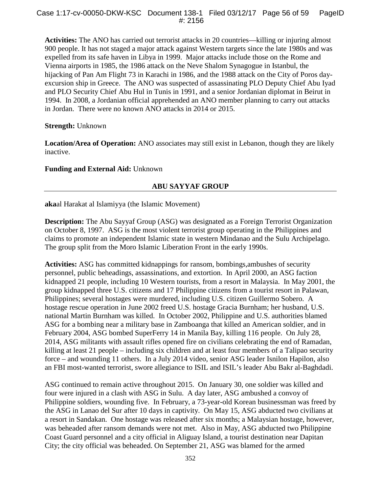#### Case 1:17-cv-00050-DKW-KSC Document 138-1 Filed 03/12/17 Page 56 of 59 PageID #: 2156

**Activities:** The ANO has carried out terrorist attacks in 20 countries—killing or injuring almost 900 people. It has not staged a major attack against Western targets since the late 1980s and was expelled from its safe haven in Libya in 1999. Major attacks include those on the Rome and Vienna airports in 1985, the 1986 attack on the Neve Shalom Synagogue in Istanbul, the hijacking of Pan Am Flight 73 in Karachi in 1986, and the 1988 attack on the City of Poros dayexcursion ship in Greece. The ANO was suspected of assassinating PLO Deputy Chief Abu Iyad and PLO Security Chief Abu Hul in Tunis in 1991, and a senior Jordanian diplomat in Beirut in 1994. In 2008, a Jordanian official apprehended an ANO member planning to carry out attacks in Jordan. There were no known ANO attacks in 2014 or 2015.

#### **Strength:** Unknown

**Location/Area of Operation:** ANO associates may still exist in Lebanon, though they are likely inactive.

#### **Funding and External Aid:** Unknown

#### **ABU SAYYAF GROUP**

**aka**al Harakat al Islamiyya (the Islamic Movement)

**Description:** The Abu Sayyaf Group (ASG) was designated as a Foreign Terrorist Organization on October 8, 1997. ASG is the most violent terrorist group operating in the Philippines and claims to promote an independent Islamic state in western Mindanao and the Sulu Archipelago. The group split from the Moro Islamic Liberation Front in the early 1990s.

**Activities:** ASG has committed kidnappings for ransom, bombings,ambushes of security personnel, public beheadings, assassinations, and extortion. In April 2000, an ASG faction kidnapped 21 people, including 10 Western tourists, from a resort in Malaysia. In May 2001, the group kidnapped three U.S. citizens and 17 Philippine citizens from a tourist resort in Palawan, Philippines; several hostages were murdered, including U.S. citizen Guillermo Sobero. A hostage rescue operation in June 2002 freed U.S. hostage Gracia Burnham; her husband, U.S. national Martin Burnham was killed. In October 2002, Philippine and U.S. authorities blamed ASG for a bombing near a military base in Zamboanga that killed an American soldier, and in February 2004, ASG bombed SuperFerry 14 in Manila Bay, killing 116 people. On July 28, 2014, ASG militants with assault rifles opened fire on civilians celebrating the end of Ramadan, killing at least 21 people – including six children and at least four members of a Talipao security force – and wounding 11 others. In a July 2014 video, senior ASG leader Isnilon Hapilon, also an FBI most-wanted terrorist, swore allegiance to ISIL and ISIL's leader Abu Bakr al-Baghdadi.

ASG continued to remain active throughout 2015. On January 30, one soldier was killed and four were injured in a clash with ASG in Sulu. A day later, ASG ambushed a convoy of Philippine soldiers, wounding five. In February, a 73-year-old Korean businessman was freed by the ASG in Lanao del Sur after 10 days in captivity. On May 15, ASG abducted two civilians at a resort in Sandakan. One hostage was released after six months; a Malaysian hostage, however, was beheaded after ransom demands were not met. Also in May, ASG abducted two Philippine Coast Guard personnel and a city official in Aliguay Island, a tourist destination near Dapitan City; the city official was beheaded. On September 21, ASG was blamed for the armed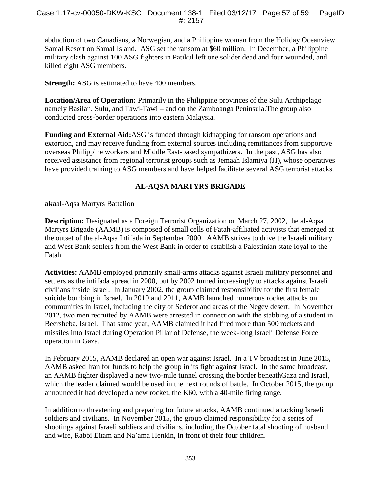abduction of two Canadians, a Norwegian, and a Philippine woman from the Holiday Oceanview Samal Resort on Samal Island. ASG set the ransom at \$60 million. In December, a Philippine military clash against 100 ASG fighters in Patikul left one solider dead and four wounded, and killed eight ASG members.

**Strength:** ASG is estimated to have 400 members.

**Location/Area of Operation:** Primarily in the Philippine provinces of the Sulu Archipelago – namely Basilan, Sulu, and Tawi-Tawi – and on the Zamboanga Peninsula.The group also conducted cross-border operations into eastern Malaysia.

**Funding and External Aid:**ASG is funded through kidnapping for ransom operations and extortion, and may receive funding from external sources including remittances from supportive overseas Philippine workers and Middle East-based sympathizers. In the past, ASG has also received assistance from regional terrorist groups such as Jemaah Islamiya (JI), whose operatives have provided training to ASG members and have helped facilitate several ASG terrorist attacks.

#### **AL-AQSA MARTYRS BRIGADE**

**aka**al-Aqsa Martyrs Battalion

**Description:** Designated as a Foreign Terrorist Organization on March 27, 2002, the al-Aqsa Martyrs Brigade (AAMB) is composed of small cells of Fatah-affiliated activists that emerged at the outset of the al-Aqsa Intifada in September 2000. AAMB strives to drive the Israeli military and West Bank settlers from the West Bank in order to establish a Palestinian state loyal to the Fatah.

**Activities:** AAMB employed primarily small-arms attacks against Israeli military personnel and settlers as the intifada spread in 2000, but by 2002 turned increasingly to attacks against Israeli civilians inside Israel. In January 2002, the group claimed responsibility for the first female suicide bombing in Israel. In 2010 and 2011, AAMB launched numerous rocket attacks on communities in Israel, including the city of Sederot and areas of the Negev desert. In November 2012, two men recruited by AAMB were arrested in connection with the stabbing of a student in Beersheba, Israel. That same year, AAMB claimed it had fired more than 500 rockets and missiles into Israel during Operation Pillar of Defense, the week-long Israeli Defense Force operation in Gaza.

In February 2015, AAMB declared an open war against Israel. In a TV broadcast in June 2015, AAMB asked Iran for funds to help the group in its fight against Israel. In the same broadcast, an AAMB fighter displayed a new two-mile tunnel crossing the border beneathGaza and Israel, which the leader claimed would be used in the next rounds of battle. In October 2015, the group announced it had developed a new rocket, the K60, with a 40-mile firing range.

In addition to threatening and preparing for future attacks, AAMB continued attacking Israeli soldiers and civilians. In November 2015, the group claimed responsibility for a series of shootings against Israeli soldiers and civilians, including the October fatal shooting of husband and wife, Rabbi Eitam and Na'ama Henkin, in front of their four children.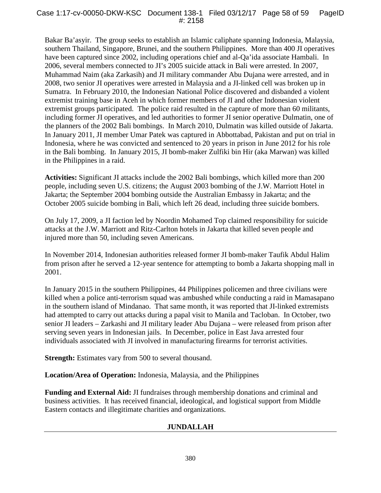Bakar Ba'asyir. The group seeks to establish an Islamic caliphate spanning Indonesia, Malaysia, southern Thailand, Singapore, Brunei, and the southern Philippines. More than 400 JI operatives have been captured since 2002, including operations chief and al-Qa'ida associate Hambali. In 2006, several members connected to JI's 2005 suicide attack in Bali were arrested. In 2007, Muhammad Naim (aka Zarkasih) and JI military commander Abu Dujana were arrested, and in 2008, two senior JI operatives were arrested in Malaysia and a JI-linked cell was broken up in Sumatra. In February 2010, the Indonesian National Police discovered and disbanded a violent extremist training base in Aceh in which former members of JI and other Indonesian violent extremist groups participated. The police raid resulted in the capture of more than 60 militants, including former JI operatives, and led authorities to former JI senior operative Dulmatin, one of the planners of the 2002 Bali bombings. In March 2010, Dulmatin was killed outside of Jakarta. In January 2011, JI member Umar Patek was captured in Abbottabad, Pakistan and put on trial in Indonesia, where he was convicted and sentenced to 20 years in prison in June 2012 for his role in the Bali bombing. In January 2015, JI bomb-maker Zulfiki bin Hir (aka Marwan) was killed in the Philippines in a raid.

**Activities:** Significant JI attacks include the 2002 Bali bombings, which killed more than 200 people, including seven U.S. citizens; the August 2003 bombing of the J.W. Marriott Hotel in Jakarta; the September 2004 bombing outside the Australian Embassy in Jakarta; and the October 2005 suicide bombing in Bali, which left 26 dead, including three suicide bombers.

On July 17, 2009, a JI faction led by Noordin Mohamed Top claimed responsibility for suicide attacks at the J.W. Marriott and Ritz-Carlton hotels in Jakarta that killed seven people and injured more than 50, including seven Americans.

In November 2014, Indonesian authorities released former JI bomb-maker Taufik Abdul Halim from prison after he served a 12-year sentence for attempting to bomb a Jakarta shopping mall in 2001.

In January 2015 in the southern Philippines, 44 Philippines policemen and three civilians were killed when a police anti-terrorism squad was ambushed while conducting a raid in Mamasapano in the southern island of Mindanao. That same month, it was reported that JI-linked extremists had attempted to carry out attacks during a papal visit to Manila and Tacloban. In October, two senior JI leaders – Zarkashi and JI military leader Abu Dujana – were released from prison after serving seven years in Indonesian jails. In December, police in East Java arrested four individuals associated with JI involved in manufacturing firearms for terrorist activities.

**Strength:** Estimates vary from 500 to several thousand.

**Location/Area of Operation:** Indonesia, Malaysia, and the Philippines

**Funding and External Aid:** JI fundraises through membership donations and criminal and business activities. It has received financial, ideological, and logistical support from Middle Eastern contacts and illegitimate charities and organizations.

#### **JUNDALLAH**